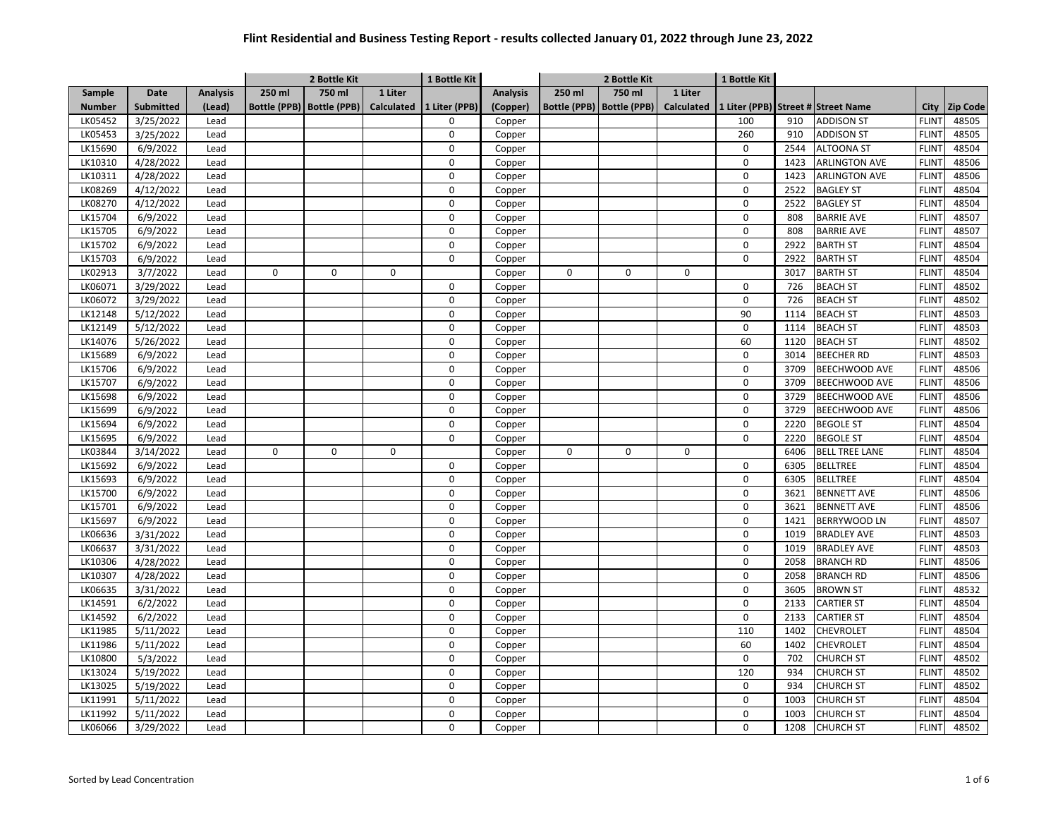|               |                  |                 |        | 2 Bottle Kit<br>1 Bottle Kit |                   |               |                 | 2 Bottle Kit |                             |                   | 1 Bottle Kit |      |                                    |              |                 |
|---------------|------------------|-----------------|--------|------------------------------|-------------------|---------------|-----------------|--------------|-----------------------------|-------------------|--------------|------|------------------------------------|--------------|-----------------|
| Sample        | <b>Date</b>      | <b>Analysis</b> | 250 ml | 750 ml                       | 1 Liter           |               | <b>Analysis</b> | 250 ml       | 750 ml                      | 1 Liter           |              |      |                                    |              |                 |
| <b>Number</b> | <b>Submitted</b> | (Lead)          |        | Bottle (PPB)   Bottle (PPB)  | <b>Calculated</b> | 1 Liter (PPB) | (Copper)        |              | Bottle (PPB)   Bottle (PPB) | <b>Calculated</b> |              |      | 1 Liter (PPB) Street # Street Name | City         | <b>Zip Code</b> |
| LK05452       | 3/25/2022        | Lead            |        |                              |                   | 0             | Copper          |              |                             |                   | 100          | 910  | <b>ADDISON ST</b>                  | <b>FLINT</b> | 48505           |
| LK05453       | 3/25/2022        | Lead            |        |                              |                   | $\mathsf 0$   | Copper          |              |                             |                   | 260          | 910  | <b>ADDISON ST</b>                  | <b>FLINT</b> | 48505           |
| LK15690       | 6/9/2022         | Lead            |        |                              |                   | 0             | Copper          |              |                             |                   | 0            | 2544 | <b>ALTOONA ST</b>                  | <b>FLINT</b> | 48504           |
| LK10310       | 4/28/2022        | Lead            |        |                              |                   | $\mathbf 0$   | Copper          |              |                             |                   | $\mathsf 0$  | 1423 | <b>ARLINGTON AVE</b>               | <b>FLINT</b> | 48506           |
| LK10311       | 4/28/2022        | Lead            |        |                              |                   | $\mathbf 0$   | Copper          |              |                             |                   | $\mathsf 0$  | 1423 | <b>ARLINGTON AVE</b>               | <b>FLINT</b> | 48506           |
| LK08269       | 4/12/2022        | Lead            |        |                              |                   | $\mathbf 0$   | Copper          |              |                             |                   | $\mathbf 0$  | 2522 | <b>BAGLEY ST</b>                   | <b>FLINT</b> | 48504           |
| LK08270       | 4/12/2022        | Lead            |        |                              |                   | $\mathbf 0$   | Copper          |              |                             |                   | $\mathbf 0$  | 2522 | <b>BAGLEY ST</b>                   | <b>FLINT</b> | 48504           |
| LK15704       | 6/9/2022         | Lead            |        |                              |                   | 0             | Copper          |              |                             |                   | $\mathsf 0$  | 808  | <b>BARRIE AVE</b>                  | <b>FLINT</b> | 48507           |
| LK15705       | 6/9/2022         | Lead            |        |                              |                   | $\mathbf 0$   | Copper          |              |                             |                   | $\mathbf 0$  | 808  | <b>BARRIE AVE</b>                  | <b>FLINT</b> | 48507           |
| LK15702       | 6/9/2022         | Lead            |        |                              |                   | $\mathsf 0$   | Copper          |              |                             |                   | $\mathsf 0$  | 2922 | <b>BARTH ST</b>                    | <b>FLINT</b> | 48504           |
| LK15703       | 6/9/2022         | Lead            |        |                              |                   | $\Omega$      | Copper          |              |                             |                   | $\mathsf 0$  | 2922 | <b>BARTH ST</b>                    | <b>FLINT</b> | 48504           |
| LK02913       | 3/7/2022         | Lead            | 0      | 0                            | 0                 |               | Copper          | 0            | 0                           | 0                 |              | 3017 | <b>BARTH ST</b>                    | <b>FLINT</b> | 48504           |
| LK06071       | 3/29/2022        | Lead            |        |                              |                   | 0             | Copper          |              |                             |                   | $\mathsf 0$  | 726  | <b>BEACH ST</b>                    | <b>FLINT</b> | 48502           |
| LK06072       | 3/29/2022        | Lead            |        |                              |                   | $\Omega$      | Copper          |              |                             |                   | $\mathbf 0$  | 726  | <b>BEACH ST</b>                    | <b>FLINT</b> | 48502           |
| LK12148       | 5/12/2022        | Lead            |        |                              |                   | $\mathbf 0$   | Copper          |              |                             |                   | 90           | 1114 | <b>BEACH ST</b>                    | <b>FLINT</b> | 48503           |
| LK12149       | 5/12/2022        | Lead            |        |                              |                   | $\mathbf 0$   | Copper          |              |                             |                   | $\mathbf 0$  | 1114 | <b>BEACH ST</b>                    | <b>FLINT</b> | 48503           |
| LK14076       | 5/26/2022        | Lead            |        |                              |                   | $\mathbf 0$   | Copper          |              |                             |                   | 60           | 1120 | <b>BEACH ST</b>                    | <b>FLINT</b> | 48502           |
| LK15689       | 6/9/2022         | Lead            |        |                              |                   | 0             | Copper          |              |                             |                   | $\mathbf 0$  | 3014 | <b>BEECHER RD</b>                  | <b>FLINT</b> | 48503           |
| LK15706       | 6/9/2022         | Lead            |        |                              |                   | $\mathbf 0$   | Copper          |              |                             |                   | $\mathsf 0$  | 3709 | <b>BEECHWOOD AVE</b>               | <b>FLINT</b> | 48506           |
| LK15707       | 6/9/2022         | Lead            |        |                              |                   | $\mathbf 0$   | Copper          |              |                             |                   | $\mathbf 0$  | 3709 | BEECHWOOD AVE                      | <b>FLINT</b> | 48506           |
| LK15698       | 6/9/2022         | Lead            |        |                              |                   | $\mathbf 0$   | Copper          |              |                             |                   | $\pmb{0}$    | 3729 | BEECHWOOD AVE                      | <b>FLINT</b> | 48506           |
| LK15699       | 6/9/2022         | Lead            |        |                              |                   | $\mathbf 0$   | Copper          |              |                             |                   | $\mathbf 0$  | 3729 | BEECHWOOD AVE                      | <b>FLINT</b> | 48506           |
| LK15694       | 6/9/2022         | Lead            |        |                              |                   | $\mathbf 0$   | Copper          |              |                             |                   | $\mathbf 0$  | 2220 | <b>BEGOLE ST</b>                   | <b>FLINT</b> | 48504           |
| LK15695       | 6/9/2022         | Lead            |        |                              |                   | $\mathbf 0$   | Copper          |              |                             |                   | $\mathbf 0$  | 2220 | <b>BEGOLE ST</b>                   | <b>FLINT</b> | 48504           |
| LK03844       | 3/14/2022        | Lead            | 0      | 0                            | 0                 |               | Copper          | $\mathbf 0$  | $\mathbf 0$                 | $\mathbf 0$       |              | 6406 | <b>BELL TREE LANE</b>              | <b>FLINT</b> | 48504           |
| LK15692       | 6/9/2022         | Lead            |        |                              |                   | 0             | Copper          |              |                             |                   | $\mathbf 0$  | 6305 | <b>BELLTREE</b>                    | <b>FLINT</b> | 48504           |
| LK15693       | 6/9/2022         | Lead            |        |                              |                   | 0             | Copper          |              |                             |                   | $\mathbf 0$  | 6305 | <b>BELLTREE</b>                    | <b>FLINT</b> | 48504           |
| LK15700       | 6/9/2022         | Lead            |        |                              |                   | $\mathbf 0$   | Copper          |              |                             |                   | $\mathsf 0$  | 3621 | <b>BENNETT AVE</b>                 | <b>FLINT</b> | 48506           |
| LK15701       | 6/9/2022         | Lead            |        |                              |                   | 0             | Copper          |              |                             |                   | $\mathbf 0$  | 3621 | <b>BENNETT AVE</b>                 | <b>FLINT</b> | 48506           |
| LK15697       | 6/9/2022         | Lead            |        |                              |                   | $\mathbf 0$   | Copper          |              |                             |                   | $\mathsf 0$  | 1421 | <b>BERRYWOOD LN</b>                | <b>FLINT</b> | 48507           |
| LK06636       | 3/31/2022        | Lead            |        |                              |                   | $\pmb{0}$     | Copper          |              |                             |                   | $\mathbf 0$  | 1019 | <b>BRADLEY AVE</b>                 | <b>FLINT</b> | 48503           |
| LK06637       | 3/31/2022        | Lead            |        |                              |                   | $\mathbf 0$   | Copper          |              |                             |                   | $\mathbf 0$  | 1019 | <b>BRADLEY AVE</b>                 | <b>FLINT</b> | 48503           |
| LK10306       | 4/28/2022        | Lead            |        |                              |                   | $\mathbf 0$   | Copper          |              |                             |                   | $\mathsf 0$  | 2058 | <b>BRANCH RD</b>                   | <b>FLINT</b> | 48506           |
| LK10307       | 4/28/2022        | Lead            |        |                              |                   | $\Omega$      | Copper          |              |                             |                   | $\Omega$     | 2058 | <b>BRANCH RD</b>                   | <b>FLINT</b> | 48506           |
| LK06635       | 3/31/2022        | Lead            |        |                              |                   | $\mathbf 0$   | Copper          |              |                             |                   | $\mathbf 0$  | 3605 | <b>BROWN ST</b>                    | <b>FLINT</b> | 48532           |
| LK14591       | 6/2/2022         | Lead            |        |                              |                   | $\mathbf 0$   | Copper          |              |                             |                   | $\mathbf 0$  | 2133 | <b>CARTIER ST</b>                  | <b>FLINT</b> | 48504           |
| LK14592       | 6/2/2022         | Lead            |        |                              |                   | 0             | Copper          |              |                             |                   | $\mathbf 0$  | 2133 | <b>CARTIER ST</b>                  | <b>FLINT</b> | 48504           |
| LK11985       | 5/11/2022        | Lead            |        |                              |                   | $\mathbf 0$   | Copper          |              |                             |                   | 110          | 1402 | CHEVROLET                          | <b>FLINT</b> | 48504           |
| LK11986       | 5/11/2022        | Lead            |        |                              |                   | $\mathbf 0$   | Copper          |              |                             |                   | 60           | 1402 | CHEVROLET                          | <b>FLINT</b> | 48504           |
| LK10800       | 5/3/2022         | Lead            |        |                              |                   | $\mathbf 0$   | Copper          |              |                             |                   | $\mathbf 0$  | 702  | <b>CHURCH ST</b>                   | <b>FLINT</b> | 48502           |
| LK13024       | 5/19/2022        | Lead            |        |                              |                   | $\mathbf 0$   | Copper          |              |                             |                   | 120          | 934  | <b>CHURCH ST</b>                   | <b>FLINT</b> | 48502           |
| LK13025       | 5/19/2022        | Lead            |        |                              |                   | $\mathbf 0$   | Copper          |              |                             |                   | $\mathsf 0$  | 934  | <b>CHURCH ST</b>                   | <b>FLINT</b> | 48502           |
| LK11991       | 5/11/2022        | Lead            |        |                              |                   | $\mathbf 0$   | Copper          |              |                             |                   | $\mathbf 0$  | 1003 | <b>CHURCH ST</b>                   | <b>FLINT</b> | 48504           |
| LK11992       | 5/11/2022        | Lead            |        |                              |                   | $\mathbf 0$   | Copper          |              |                             |                   | $\mathbf 0$  | 1003 | <b>CHURCH ST</b>                   | <b>FLINT</b> | 48504           |
| LK06066       | 3/29/2022        | Lead            |        |                              |                   | $\Omega$      | Copper          |              |                             |                   | $\mathbf 0$  | 1208 | <b>CHURCH ST</b>                   | <b>FLINT</b> | 48502           |
|               |                  |                 |        |                              |                   |               |                 |              |                             |                   |              |      |                                    |              |                 |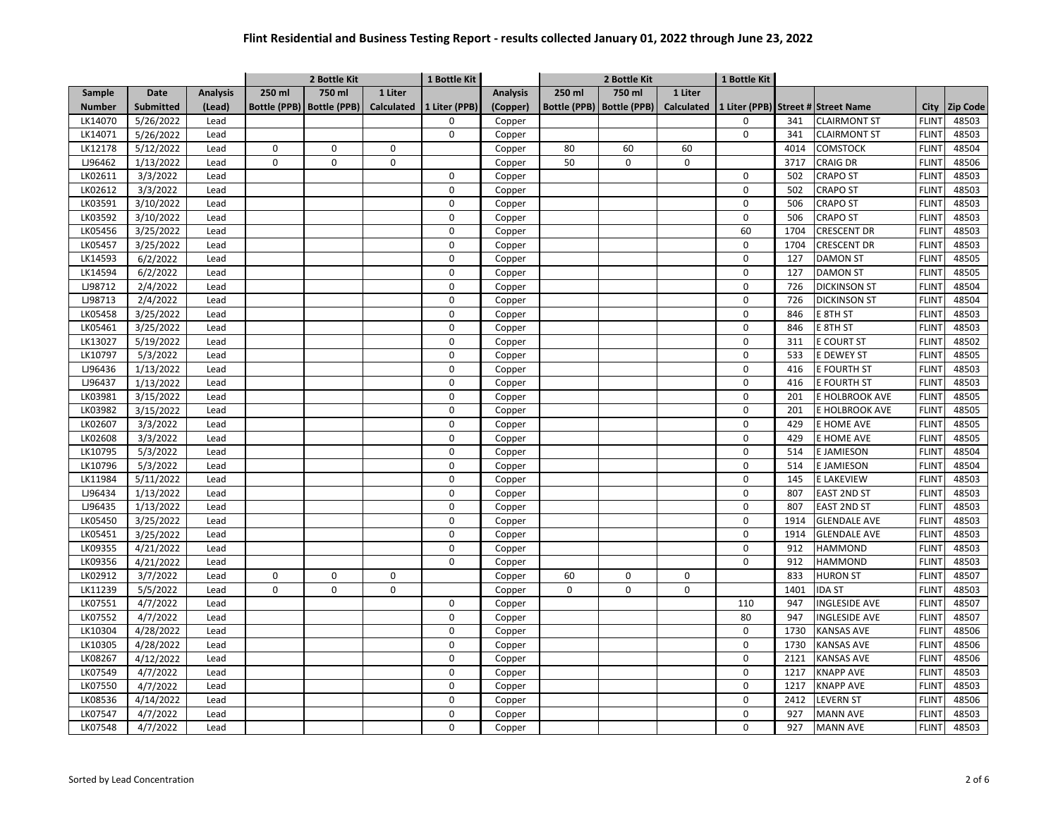|               |                  |                 |                     | 2 Bottle Kit        |             | 1 Bottle Kit  |                 | 2 Bottle Kit |                             |                   | 1 Bottle Kit |      |                                    |              |                 |
|---------------|------------------|-----------------|---------------------|---------------------|-------------|---------------|-----------------|--------------|-----------------------------|-------------------|--------------|------|------------------------------------|--------------|-----------------|
| Sample        | <b>Date</b>      | <b>Analysis</b> | 250 ml              | 750 ml              | 1 Liter     |               | <b>Analysis</b> | 250 ml       | 750 ml                      | 1 Liter           |              |      |                                    |              |                 |
| <b>Number</b> | <b>Submitted</b> | (Lead)          | <b>Bottle (PPB)</b> | <b>Bottle (PPB)</b> | Calculated  | 1 Liter (PPB) | (Copper)        |              | Bottle (PPB)   Bottle (PPB) | <b>Calculated</b> |              |      | 1 Liter (PPB) Street # Street Name | <b>City</b>  | <b>Zip Code</b> |
| LK14070       | 5/26/2022        | Lead            |                     |                     |             | 0             | Copper          |              |                             |                   | 0            | 341  | <b>CLAIRMONT ST</b>                | <b>FLINT</b> | 48503           |
| LK14071       | 5/26/2022        | Lead            |                     |                     |             | $\Omega$      | Copper          |              |                             |                   | $\mathbf 0$  | 341  | <b>CLAIRMONT ST</b>                | <b>FLINT</b> | 48503           |
| LK12178       | 5/12/2022        | Lead            | 0                   | 0                   | $\mathbf 0$ |               | Copper          | 80           | 60                          | 60                |              | 4014 | <b>COMSTOCK</b>                    | <b>FLINT</b> | 48504           |
| LJ96462       | 1/13/2022        | Lead            | 0                   | 0                   | 0           |               | Copper          | 50           | $\mathbf 0$                 | 0                 |              | 3717 | <b>CRAIG DR</b>                    | <b>FLINT</b> | 48506           |
| LK02611       | 3/3/2022         | Lead            |                     |                     |             | 0             | Copper          |              |                             |                   | $\mathbf 0$  | 502  | <b>CRAPO ST</b>                    | <b>FLINT</b> | 48503           |
| LK02612       | 3/3/2022         | Lead            |                     |                     |             | $\mathbf 0$   | Copper          |              |                             |                   | $\mathbf 0$  | 502  | <b>CRAPO ST</b>                    | <b>FLINT</b> | 48503           |
| LK03591       | 3/10/2022        | Lead            |                     |                     |             | $\Omega$      | Copper          |              |                             |                   | $\Omega$     | 506  | <b>CRAPO ST</b>                    | <b>FLINT</b> | 48503           |
| LK03592       | 3/10/2022        | Lead            |                     |                     |             | $\mathbf 0$   | Copper          |              |                             |                   | $\mathbf 0$  | 506  | <b>CRAPO ST</b>                    | <b>FLINT</b> | 48503           |
| LK05456       | 3/25/2022        | Lead            |                     |                     |             | 0             | Copper          |              |                             |                   | 60           | 1704 | <b>CRESCENT DR</b>                 | <b>FLINT</b> | 48503           |
| LK05457       | 3/25/2022        | Lead            |                     |                     |             | 0             | Copper          |              |                             |                   | 0            | 1704 | <b>CRESCENT DR</b>                 | <b>FLINT</b> | 48503           |
| LK14593       | 6/2/2022         | Lead            |                     |                     |             | $\mathbf 0$   | Copper          |              |                             |                   | $\mathbf 0$  | 127  | <b>DAMON ST</b>                    | <b>FLINT</b> | 48505           |
| LK14594       | 6/2/2022         | Lead            |                     |                     |             | $\mathbf 0$   | Copper          |              |                             |                   | $\pmb{0}$    | 127  | <b>DAMON ST</b>                    | <b>FLINT</b> | 48505           |
| LJ98712       | 2/4/2022         | Lead            |                     |                     |             | $\mathbf 0$   | Copper          |              |                             |                   | $\mathbf 0$  | 726  | <b>DICKINSON ST</b>                | <b>FLINT</b> | 48504           |
| LJ98713       | 2/4/2022         | Lead            |                     |                     |             | $\mathbf 0$   | Copper          |              |                             |                   | $\mathbf 0$  | 726  | <b>DICKINSON ST</b>                | <b>FLINT</b> | 48504           |
| LK05458       | 3/25/2022        | Lead            |                     |                     |             | 0             | Copper          |              |                             |                   | $\pmb{0}$    | 846  | E 8TH ST                           | <b>FLINT</b> | 48503           |
| LK05461       | 3/25/2022        | Lead            |                     |                     |             | $\mathbf 0$   | Copper          |              |                             |                   | $\mathbf 0$  | 846  | E 8TH ST                           | <b>FLINT</b> | 48503           |
| LK13027       | 5/19/2022        | Lead            |                     |                     |             | $\mathbf 0$   | Copper          |              |                             |                   | $\pmb{0}$    | 311  | E COURT ST                         | <b>FLINT</b> | 48502           |
| LK10797       | 5/3/2022         | Lead            |                     |                     |             | 0             | Copper          |              |                             |                   | $\pmb{0}$    | 533  | E DEWEY ST                         | <b>FLINT</b> | 48505           |
| LJ96436       | 1/13/2022        | Lead            |                     |                     |             | 0             | Copper          |              |                             |                   | $\mathbf 0$  | 416  | E FOURTH ST                        | <b>FLINT</b> | 48503           |
| LJ96437       | 1/13/2022        | Lead            |                     |                     |             | 0             | Copper          |              |                             |                   | 0            | 416  | E FOURTH ST                        | <b>FLINT</b> | 48503           |
| LK03981       | 3/15/2022        | Lead            |                     |                     |             | 0             | Copper          |              |                             |                   | $\pmb{0}$    | 201  | E HOLBROOK AVE                     | <b>FLINT</b> | 48505           |
| LK03982       | 3/15/2022        | Lead            |                     |                     |             | $\mathbf 0$   | Copper          |              |                             |                   | $\pmb{0}$    | 201  | E HOLBROOK AVE                     | <b>FLINT</b> | 48505           |
| LK02607       | 3/3/2022         | Lead            |                     |                     |             | 0             | Copper          |              |                             |                   | $\mathbf 0$  | 429  | E HOME AVE                         | <b>FLINT</b> | 48505           |
| LK02608       | 3/3/2022         | Lead            |                     |                     |             | $\mathbf 0$   | Copper          |              |                             |                   | $\mathbf 0$  | 429  | E HOME AVE                         | <b>FLINT</b> | 48505           |
| LK10795       | 5/3/2022         | Lead            |                     |                     |             | $\mathbf 0$   | Copper          |              |                             |                   | $\mathbf 0$  | 514  | E JAMIESON                         | <b>FLINT</b> | 48504           |
| LK10796       | 5/3/2022         | Lead            |                     |                     |             | 0             | Copper          |              |                             |                   | $\pmb{0}$    | 514  | E JAMIESON                         | <b>FLINT</b> | 48504           |
| LK11984       | 5/11/2022        | Lead            |                     |                     |             | 0             | Copper          |              |                             |                   | $\mathbf 0$  | 145  | E LAKEVIEW                         | <b>FLINT</b> | 48503           |
| LJ96434       | 1/13/2022        | Lead            |                     |                     |             | 0             | Copper          |              |                             |                   | 0            | 807  | <b>EAST 2ND ST</b>                 | <b>FLINT</b> | 48503           |
| LJ96435       | 1/13/2022        | Lead            |                     |                     |             | 0             | Copper          |              |                             |                   | $\pmb{0}$    | 807  | <b>EAST 2ND ST</b>                 | <b>FLINT</b> | 48503           |
| LK05450       | 3/25/2022        | Lead            |                     |                     |             | $\mathbf 0$   | Copper          |              |                             |                   | $\mathbf 0$  | 1914 | <b>GLENDALE AVE</b>                | <b>FLINT</b> | 48503           |
| LK05451       | 3/25/2022        | Lead            |                     |                     |             | $\mathbf 0$   | Copper          |              |                             |                   | $\pmb{0}$    | 1914 | <b>GLENDALE AVE</b>                | <b>FLINT</b> | 48503           |
| LK09355       | 4/21/2022        | Lead            |                     |                     |             | $\mathbf 0$   | Copper          |              |                             |                   | $\mathbf 0$  | 912  | <b>HAMMOND</b>                     | <b>FLINT</b> | 48503           |
| LK09356       | 4/21/2022        | Lead            |                     |                     |             | 0             | Copper          |              |                             |                   | $\mathbf 0$  | 912  | <b>HAMMOND</b>                     | <b>FLINT</b> | 48503           |
| LK02912       | 3/7/2022         | Lead            | $\mathbf 0$         | $\mathsf 0$         | $\mathbf 0$ |               | Copper          | 60           | $\Omega$                    | 0                 |              | 833  | <b>HURON ST</b>                    | <b>FLINT</b> | 48507           |
| LK11239       | 5/5/2022         | Lead            | 0                   | 0                   | 0           |               | Copper          | $\Omega$     | $\Omega$                    | 0                 |              | 1401 | <b>IDA ST</b>                      | <b>FLINT</b> | 48503           |
| LK07551       | 4/7/2022         | Lead            |                     |                     |             | 0             | Copper          |              |                             |                   | 110          | 947  | <b>INGLESIDE AVE</b>               | <b>FLINT</b> | 48507           |
| LK07552       | 4/7/2022         | Lead            |                     |                     |             | 0             | Copper          |              |                             |                   | 80           | 947  | <b>INGLESIDE AVE</b>               | <b>FLINT</b> | 48507           |
| LK10304       | 4/28/2022        | Lead            |                     |                     |             | $\mathbf 0$   | Copper          |              |                             |                   | 0            | 1730 | <b>KANSAS AVE</b>                  | <b>FLINT</b> | 48506           |
| LK10305       | 4/28/2022        | Lead            |                     |                     |             | $\mathbf 0$   | Copper          |              |                             |                   | $\pmb{0}$    | 1730 | <b>KANSAS AVE</b>                  | <b>FLINT</b> | 48506           |
| LK08267       | 4/12/2022        | Lead            |                     |                     |             | $\pmb{0}$     | Copper          |              |                             |                   | $\pmb{0}$    | 2121 | <b>KANSAS AVE</b>                  | <b>FLINT</b> | 48506           |
| LK07549       | 4/7/2022         | Lead            |                     |                     |             | $\mathbf 0$   | Copper          |              |                             |                   | $\mathbf 0$  | 1217 | <b>KNAPP AVE</b>                   | <b>FLINT</b> | 48503           |
| LK07550       | 4/7/2022         | Lead            |                     |                     |             | $\mathbf 0$   | Copper          |              |                             |                   | $\mathbf 0$  | 1217 | <b>KNAPP AVE</b>                   | <b>FLINT</b> | 48503           |
| LK08536       | 4/14/2022        | Lead            |                     |                     |             | $\mathbf 0$   | Copper          |              |                             |                   | $\mathbf 0$  | 2412 | <b>LEVERN ST</b>                   | <b>FLINT</b> | 48506           |
| LK07547       | 4/7/2022         | Lead            |                     |                     |             | $\mathbf 0$   | Copper          |              |                             |                   | $\mathbf 0$  | 927  | <b>MANN AVE</b>                    | <b>FLINT</b> | 48503           |
| LK07548       | 4/7/2022         | Lead            |                     |                     |             | $\Omega$      | Copper          |              |                             |                   | $\mathbf 0$  | 927  | <b>MANN AVE</b>                    | <b>FLINT</b> | 48503           |
|               |                  |                 |                     |                     |             |               |                 |              |                             |                   |              |      |                                    |              |                 |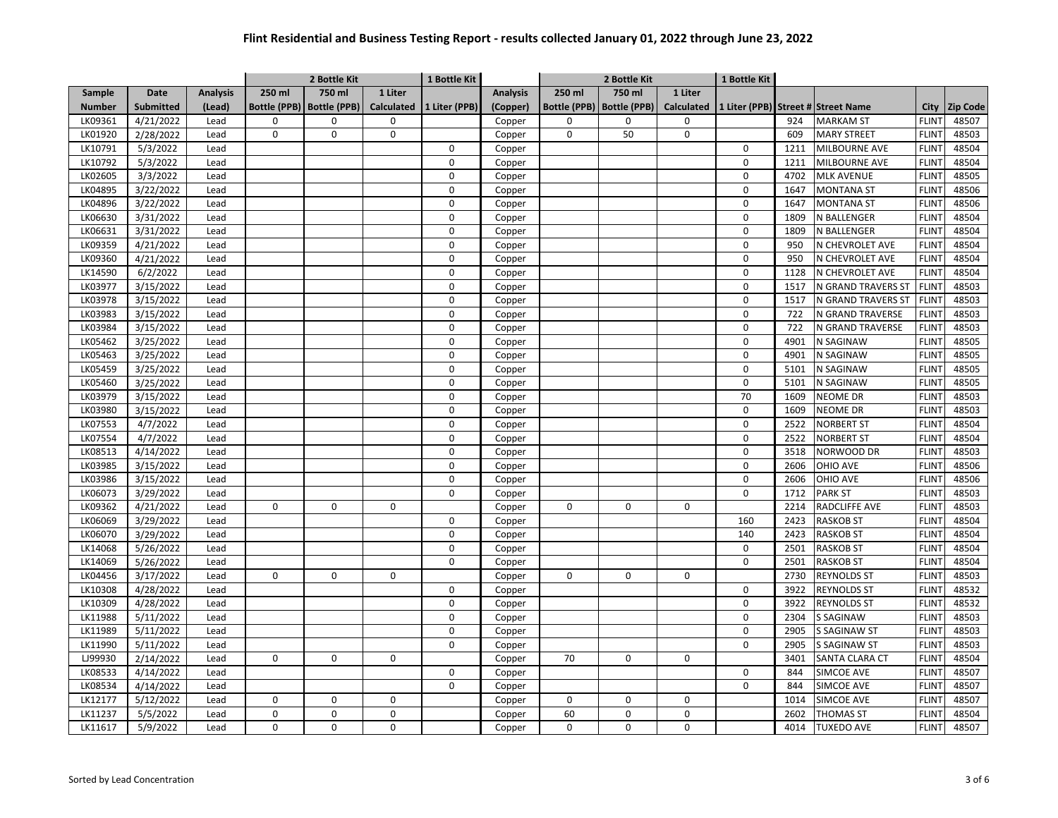|               |                  |                 |          | 2 Bottle Kit                |             | 1 Bottle Kit             |                 | 2 Bottle Kit |                     |                     | 1 Bottle Kit |      |                                    |              |          |
|---------------|------------------|-----------------|----------|-----------------------------|-------------|--------------------------|-----------------|--------------|---------------------|---------------------|--------------|------|------------------------------------|--------------|----------|
| Sample        | <b>Date</b>      | <b>Analysis</b> | 250 ml   | 750 ml                      | 1 Liter     |                          | <b>Analysis</b> | 250 ml       | 750 ml              | 1 Liter             |              |      |                                    |              |          |
| <b>Number</b> | <b>Submitted</b> | (Lead)          |          | Bottle (PPB)   Bottle (PPB) |             | Calculated 1 Liter (PPB) | (Copper)        | Bottle (PPB) | <b>Bottle (PPB)</b> | <b>Calculated</b>   |              |      | 1 Liter (PPB) Street # Street Name | City         | Zip Code |
| LK09361       | 4/21/2022        | Lead            | 0        | 0                           | 0           |                          | Copper          | 0            | $\pmb{0}$           | 0                   |              | 924  | <b>MARKAM ST</b>                   | <b>FLINT</b> | 48507    |
| LK01920       | 2/28/2022        | Lead            | 0        | 0                           | $\mathbf 0$ |                          | Copper          | $\mathbf 0$  | 50                  | $\mathsf{O}\xspace$ |              | 609  | <b>MARY STREET</b>                 | <b>FLINT</b> | 48503    |
| LK10791       | 5/3/2022         | Lead            |          |                             |             | $\mathbf 0$              | Copper          |              |                     |                     | $\mathbf 0$  | 1211 | MILBOURNE AVE                      | <b>FLINT</b> | 48504    |
| LK10792       | 5/3/2022         | Lead            |          |                             |             | 0                        | Copper          |              |                     |                     | $\mathbf 0$  | 1211 | MILBOURNE AVE                      | <b>FLINT</b> | 48504    |
| LK02605       | 3/3/2022         | Lead            |          |                             |             | $\Omega$                 | Copper          |              |                     |                     | $\Omega$     | 4702 | <b>MLK AVENUE</b>                  | <b>FLINT</b> | 48505    |
| LK04895       | 3/22/2022        | Lead            |          |                             |             | $\mathbf 0$              | Copper          |              |                     |                     | $\mathbf 0$  | 1647 | <b>MONTANA ST</b>                  | <b>FLINT</b> | 48506    |
| LK04896       | 3/22/2022        | Lead            |          |                             |             | $\mathbf 0$              | Copper          |              |                     |                     | $\mathbf 0$  | 1647 | <b>MONTANA ST</b>                  | <b>FLINT</b> | 48506    |
| LK06630       | 3/31/2022        | Lead            |          |                             |             | 0                        | Copper          |              |                     |                     | $\mathsf 0$  | 1809 | N BALLENGER                        | <b>FLINT</b> | 48504    |
| LK06631       | 3/31/2022        | Lead            |          |                             |             | 0                        | Copper          |              |                     |                     | $\mathbf 0$  | 1809 | <b>N BALLENGER</b>                 | <b>FLINT</b> | 48504    |
| LK09359       | 4/21/2022        | Lead            |          |                             |             | $\mathsf 0$              | Copper          |              |                     |                     | $\mathsf 0$  | 950  | N CHEVROLET AVE                    | <b>FLINT</b> | 48504    |
| LK09360       | 4/21/2022        | Lead            |          |                             |             | $\Omega$                 | Copper          |              |                     |                     | $\mathsf 0$  | 950  | N CHEVROLET AVE                    | <b>FLINT</b> | 48504    |
| LK14590       | 6/2/2022         | Lead            |          |                             |             | $\mathbf 0$              | Copper          |              |                     |                     | $\mathbf 0$  | 1128 | N CHEVROLET AVE                    | <b>FLINT</b> | 48504    |
| LK03977       | 3/15/2022        | Lead            |          |                             |             | $\mathbf 0$              | Copper          |              |                     |                     | $\mathsf 0$  | 1517 | N GRAND TRAVERS ST                 | <b>FLINT</b> | 48503    |
| LK03978       | 3/15/2022        | Lead            |          |                             |             | $\mathbf 0$              | Copper          |              |                     |                     | $\mathbf 0$  | 1517 | N GRAND TRAVERS ST                 | <b>FLINT</b> | 48503    |
| LK03983       | 3/15/2022        | Lead            |          |                             |             | $\mathbf 0$              | Copper          |              |                     |                     | $\mathbf 0$  | 722  | N GRAND TRAVERSE                   | <b>FLINT</b> | 48503    |
| LK03984       | 3/15/2022        | Lead            |          |                             |             | $\mathbf 0$              | Copper          |              |                     |                     | $\mathbf 0$  | 722  | N GRAND TRAVERSE                   | <b>FLINT</b> | 48503    |
| LK05462       | 3/25/2022        | Lead            |          |                             |             | $\mathbf 0$              | Copper          |              |                     |                     | $\mathbf 0$  | 4901 | N SAGINAW                          | <b>FLINT</b> | 48505    |
| LK05463       | 3/25/2022        | Lead            |          |                             |             | 0                        | Copper          |              |                     |                     | $\mathbf 0$  | 4901 | N SAGINAW                          | <b>FLINT</b> | 48505    |
| LK05459       | 3/25/2022        | Lead            |          |                             |             | $\mathbf 0$              | Copper          |              |                     |                     | 0            | 5101 | N SAGINAW                          | <b>FLINT</b> | 48505    |
| LK05460       | 3/25/2022        | Lead            |          |                             |             | $\mathbf 0$              | Copper          |              |                     |                     | $\mathbf 0$  | 5101 | N SAGINAW                          | <b>FLINT</b> | 48505    |
| LK03979       | 3/15/2022        | Lead            |          |                             |             | $\mathbf 0$              | Copper          |              |                     |                     | 70           | 1609 | NEOME DR                           | <b>FLINT</b> | 48503    |
| LK03980       | 3/15/2022        | Lead            |          |                             |             | $\mathbf 0$              | Copper          |              |                     |                     | $\mathbf 0$  | 1609 | NEOME DR                           | <b>FLINT</b> | 48503    |
| LK07553       | 4/7/2022         | Lead            |          |                             |             | $\mathbf 0$              | Copper          |              |                     |                     | $\mathbf 0$  | 2522 | <b>NORBERT ST</b>                  | <b>FLINT</b> | 48504    |
| LK07554       | 4/7/2022         | Lead            |          |                             |             | $\mathbf 0$              | Copper          |              |                     |                     | $\mathbf 0$  | 2522 | <b>NORBERT ST</b>                  | <b>FLINT</b> | 48504    |
| LK08513       | 4/14/2022        | Lead            |          |                             |             | $\mathbf 0$              | Copper          |              |                     |                     | $\mathbf 0$  | 3518 | NORWOOD DR                         | <b>FLINT</b> | 48503    |
| LK03985       | 3/15/2022        | Lead            |          |                             |             | $\mathbf 0$              | Copper          |              |                     |                     | $\mathbf 0$  | 2606 | OHIO AVE                           | <b>FLINT</b> | 48506    |
| LK03986       | 3/15/2022        | Lead            |          |                             |             | 0                        | Copper          |              |                     |                     | $\mathbf 0$  | 2606 | <b>OHIO AVE</b>                    | <b>FLINT</b> | 48506    |
| LK06073       | 3/29/2022        | Lead            |          |                             |             | 0                        | Copper          |              |                     |                     | $\mathbf 0$  | 1712 | <b>PARK ST</b>                     | <b>FLINT</b> | 48503    |
| LK09362       | 4/21/2022        | Lead            | 0        | 0                           | 0           |                          | Copper          | $\Omega$     | $\mathbf 0$         | $\mathbf 0$         |              | 2214 | <b>RADCLIFFE AVE</b>               | <b>FLINT</b> | 48503    |
| LK06069       | 3/29/2022        | Lead            |          |                             |             | 0                        | Copper          |              |                     |                     | 160          | 2423 | <b>RASKOB ST</b>                   | <b>FLINT</b> | 48504    |
| LK06070       | 3/29/2022        | Lead            |          |                             |             | $\Omega$                 | Copper          |              |                     |                     | 140          | 2423 | <b>RASKOB ST</b>                   | <b>FLINT</b> | 48504    |
| LK14068       | 5/26/2022        | Lead            |          |                             |             | $\mathbf 0$              | Copper          |              |                     |                     | $\mathbf 0$  | 2501 | <b>RASKOB ST</b>                   | <b>FLINT</b> | 48504    |
| LK14069       | 5/26/2022        | Lead            |          |                             |             | $\mathbf 0$              | Copper          |              |                     |                     | $\mathbf 0$  | 2501 | <b>RASKOB ST</b>                   | <b>FLINT</b> | 48504    |
| LK04456       | 3/17/2022        | Lead            | $\Omega$ | $\Omega$                    | $\Omega$    |                          | Copper          | $\Omega$     | $\Omega$            | $\Omega$            |              | 2730 | <b>REYNOLDS ST</b>                 | <b>FLINT</b> | 48503    |
| LK10308       | 4/28/2022        | Lead            |          |                             |             | $\mathbf 0$              | Copper          |              |                     |                     | 0            | 3922 | <b>REYNOLDS ST</b>                 | <b>FLINT</b> | 48532    |
| LK10309       | 4/28/2022        | Lead            |          |                             |             | 0                        | Copper          |              |                     |                     | $\mathbf 0$  | 3922 | <b>REYNOLDS ST</b>                 | <b>FLINT</b> | 48532    |
| LK11988       | 5/11/2022        | Lead            |          |                             |             | 0                        | Copper          |              |                     |                     | $\mathbf 0$  | 2304 | S SAGINAW                          | <b>FLINT</b> | 48503    |
| LK11989       | 5/11/2022        | Lead            |          |                             |             | $\mathbf 0$              | Copper          |              |                     |                     | $\mathsf 0$  | 2905 | <b>S SAGINAW ST</b>                | <b>FLINT</b> | 48503    |
| LK11990       | 5/11/2022        | Lead            |          |                             |             | $\mathbf 0$              | Copper          |              |                     |                     | $\mathbf 0$  | 2905 | <b>S SAGINAW ST</b>                | <b>FLINT</b> | 48503    |
| LJ99930       | 2/14/2022        | Lead            | 0        | 0                           | 0           |                          | Copper          | 70           | $\mathbf 0$         | $\mathbf 0$         |              | 3401 | SANTA CLARA CT                     | <b>FLINT</b> | 48504    |
| LK08533       | 4/14/2022        | Lead            |          |                             |             | $\mathbf 0$              | Copper          |              |                     |                     | $\mathbf 0$  | 844  | SIMCOE AVE                         | <b>FLINT</b> | 48507    |
| LK08534       | 4/14/2022        | Lead            |          |                             |             | $\mathbf 0$              | Copper          |              |                     |                     | $\mathbf 0$  | 844  | SIMCOE AVE                         | <b>FLINT</b> | 48507    |
| LK12177       |                  | Lead            | 0        | 0                           | 0           |                          |                 | $\Omega$     | $\Omega$            | $\mathbf 0$         |              | 1014 | SIMCOE AVE                         | <b>FLINT</b> | 48507    |
| LK11237       | 5/12/2022        |                 | 0        | 0                           | 0           |                          | Copper          | 60           | $\Omega$            | $\mathbf 0$         |              | 2602 | <b>THOMAS ST</b>                   | <b>FLINT</b> | 48504    |
|               | 5/5/2022         | Lead            | 0        |                             | $\Omega$    |                          | Copper          |              | $\Omega$            | $\mathbf 0$         |              |      |                                    |              |          |
| LK11617       | 5/9/2022         | Lead            |          | 0                           |             |                          | Copper          | $\mathbf 0$  |                     |                     |              | 4014 | <b>TUXEDO AVE</b>                  | <b>FLINT</b> | 48507    |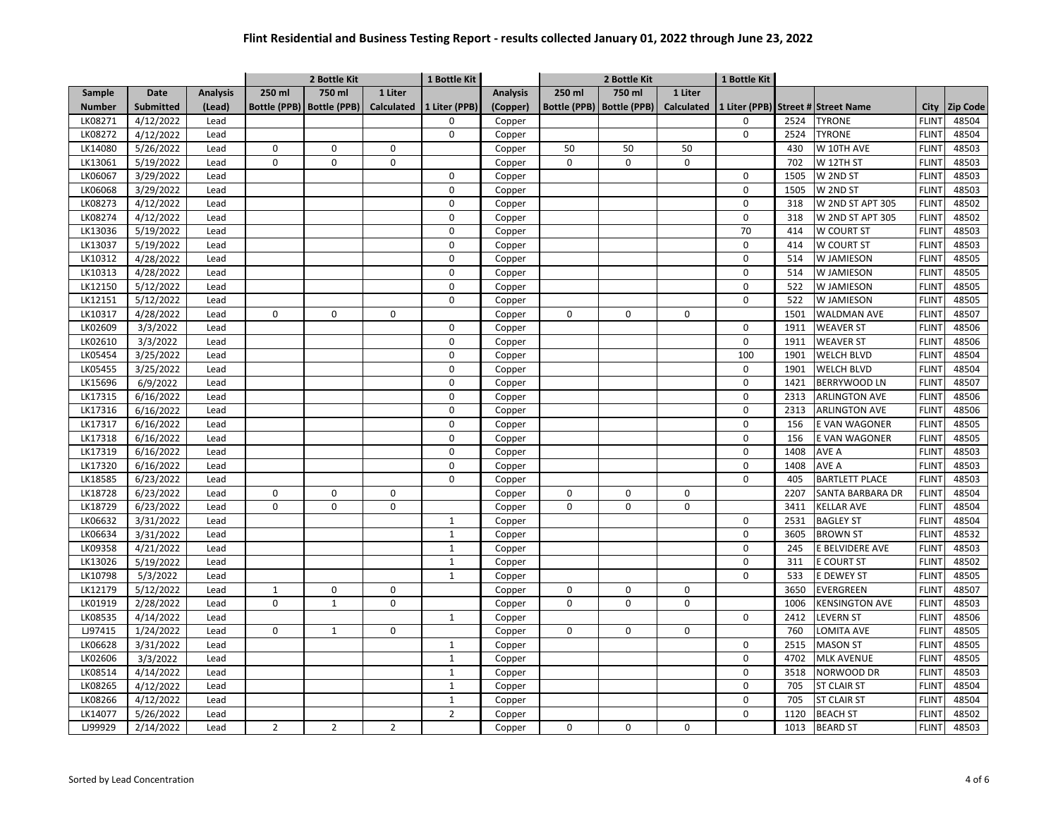| 250 ml<br>750 ml<br>1 Liter<br>250 ml<br>750 ml<br>1 Liter<br><b>Date</b><br><b>Analysis</b><br><b>Analysis</b><br>Sample<br>Bottle (PPB)<br>Bottle (PPB)<br>Bottle (PPB)<br><b>Calculated</b><br><b>Submitted</b><br><b>Bottle (PPB)</b><br><b>Calculated</b><br>1 Liter (PPB)<br>(Copper)<br>1 Liter (PPB) Street # Street Name<br><b>Zip Code</b><br><b>Number</b><br>(Lead)<br><b>City</b><br><b>FLINT</b><br>48504<br>LK08271<br>4/12/2022<br>Copper<br>0<br>2524<br><b>TYRONE</b><br>Lead<br>0<br><b>TYRONE</b><br>LK08272<br>4/12/2022<br>$\Omega$<br>0<br>2524<br><b>FLINT</b><br>48504<br>Lead<br>Copper<br>$\mathbf 0$<br>$\mathbf 0$<br>W 10TH AVE<br><b>FLINT</b><br>48503<br>LK14080<br>5/26/2022<br>Lead<br>$\mathbf 0$<br>50<br>50<br>50<br>430<br>Copper<br>5/19/2022<br>0<br>0<br>LK13061<br>$\mathbf 0$<br>0<br>0<br>$\mathbf 0$<br>702<br>W 12TH ST<br><b>FLINT</b><br>48503<br>Lead<br>Copper<br>48503<br>LK06067<br>0<br>1505<br>W 2ND ST<br><b>FLINT</b><br>3/29/2022<br>Lead<br>$\mathbf 0$<br>Copper<br>LK06068<br>3/29/2022<br>0<br>W 2ND ST<br><b>FLINT</b><br>48503<br>0<br>1505<br>Lead<br>Copper<br>W 2ND ST APT 305<br>48502<br>LK08273<br>4/12/2022<br>$\Omega$<br>$\Omega$<br>318<br><b>FLINT</b><br>Lead<br>Copper<br>LK08274<br>4/12/2022<br>0<br>0<br>W 2ND ST APT 305<br><b>FLINT</b><br>48502<br>Copper<br>318<br>Lead<br>5/19/2022<br>70<br><b>FLINT</b><br>48503<br>LK13036<br>0<br>414<br>W COURT ST<br>Lead<br>Copper<br>LK13037<br>5/19/2022<br>0<br>414<br>W COURT ST<br><b>FLINT</b><br>48503<br>Lead<br>$\mathbf 0$<br>Copper<br>LK10312<br>4/28/2022<br>$\mathbf 0$<br>0<br>W JAMIESON<br><b>FLINT</b><br>48505<br>Lead<br>514<br>Copper<br>0<br>48505<br>LK10313<br>4/28/2022<br>Lead<br>$\mathbf 0$<br>514<br>W JAMIESON<br><b>FLINT</b><br>Copper<br>LK12150<br>5/12/2022<br>0<br><b>FLINT</b><br>48505<br>Lead<br>$\mathbf 0$<br>522<br>W JAMIESON<br>Copper<br>0<br>48505<br>$\mathbf 0$<br>522<br><b>FLINT</b><br>LK12151<br>5/12/2022<br>Lead<br>W JAMIESON<br>Copper<br>LK10317<br>4/28/2022<br>0<br>0<br>0<br>$\pmb{0}$<br>0<br>1501<br><b>WALDMAN AVE</b><br><b>FLINT</b><br>48507<br>Lead<br>Copper<br>0<br>LK02609<br>1911<br><b>WEAVER ST</b><br><b>FLINT</b><br>48506<br>3/3/2022<br>Lead<br>$\mathbf 0$<br>0<br>Copper<br>LK02610<br>3/3/2022<br>0<br>0<br><b>FLINT</b><br>48506<br>Copper<br>1911<br><b>WEAVER ST</b><br>Lead<br>48504<br>LK05454<br>3/25/2022<br>0<br>100<br>1901<br><b>WELCH BLVD</b><br><b>FLINT</b><br>Lead<br>Copper<br>LK05455<br>3/25/2022<br>0<br>1901<br><b>WELCH BLVD</b><br><b>FLINT</b><br>48504<br>Lead<br>$\mathbf 0$<br>Copper<br>LK15696<br>6/9/2022<br>$\mathbf 0$<br>0<br>1421<br><b>BERRYWOOD LN</b><br><b>FLINT</b><br>48507<br>Lead<br>Copper<br>6/16/2022<br>0<br>LK17315<br>$\mathbf 0$<br>2313<br><b>ARLINGTON AVE</b><br><b>FLINT</b><br>48506<br>Lead<br>Copper<br>0<br>48506<br>LK17316<br>6/16/2022<br>$\mathbf 0$<br>2313<br><b>ARLINGTON AVE</b><br><b>FLINT</b><br>Lead<br>Copper<br>0<br>0<br>48505<br>LK17317<br>6/16/2022<br>Lead<br>156<br>E VAN WAGONER<br><b>FLINT</b><br>Copper<br>LK17318<br>0<br>E VAN WAGONER<br><b>FLINT</b><br>48505<br>6/16/2022<br>0<br>156<br>Lead<br>Copper<br>LK17319<br>6/16/2022<br>0<br>0<br>1408<br>AVE A<br><b>FLINT</b><br>48503<br>Lead<br>Copper<br>6/16/2022<br>0<br>AVE A<br><b>FLINT</b><br>48503<br>LK17320<br>0<br>1408<br>Lead<br>Copper<br>0<br>48503<br>LK18585<br>6/23/2022<br>0<br>405<br><b>BARTLETT PLACE</b><br><b>FLINT</b><br>Lead<br>Copper<br>LK18728<br>6/23/2022<br>SANTA BARBARA DR<br><b>FLINT</b><br>48504<br>$\mathbf 0$<br>0<br>0<br>$\mathbf 0$<br>0<br>0<br>2207<br>Lead<br>Copper<br>LK18729<br>6/23/2022<br>$\Omega$<br>$\Omega$<br>$\Omega$<br>$\Omega$<br>$\Omega$<br>0<br>3411<br><b>KELLAR AVE</b><br><b>FLINT</b><br>48504<br>Lead<br>Copper<br>LK06632<br>3/31/2022<br>0<br>2531<br><b>BAGLEY ST</b><br><b>FLINT</b><br>48504<br>Lead<br>$\mathbf{1}$<br>Copper<br>0<br>48532<br>LK06634<br>3/31/2022<br>3605<br><b>BROWN ST</b><br><b>FLINT</b><br>Lead<br>$\mathbf{1}$<br>Copper<br>$\mathbf 0$<br>$\mathbf{1}$<br>48503<br>LK09358<br>4/21/2022<br>Lead<br>245<br>E BELVIDERE AVE<br><b>FLINT</b><br>Copper<br>5/19/2022<br>48502<br>LK13026<br>$\mathbf{1}$<br>0<br>311<br>E COURT ST<br><b>FLINT</b><br>Lead<br>Copper<br>5/3/2022<br>$\mathbf{1}$<br>0<br><b>FLINT</b><br>48505<br>LK10798<br>533<br>E DEWEY ST<br>Lead<br>Copper<br>LK12179<br>5/12/2022<br>$\Omega$<br>0<br>3650<br>EVERGREEN<br><b>FLINT</b><br>48507<br>Lead<br>$\mathbf{1}$<br>$\mathbf 0$<br>0<br>Copper<br>$\Omega$<br>2/28/2022<br>$\mathbf 0$<br>$\mathbf{1}$<br>0<br>$\mathbf 0$<br>0<br>48503<br>LK01919<br>0<br>1006<br><b>KENSINGTON AVE</b><br><b>FLINT</b><br>Lead<br>Copper<br>48506<br>LK08535<br>4/14/2022<br>$\mathbf{1}$<br>0<br>2412<br><b>LEVERN ST</b><br><b>FLINT</b><br>Lead<br>Copper<br>LJ97415<br>1/24/2022<br>$\mathbf 0$<br>$\mathbf 0$<br>0<br>$\mathbf 0$<br>760<br><b>LOMITA AVE</b><br><b>FLINT</b><br>48505<br>Lead<br>$\mathbf{1}$<br>Copper<br>$\Omega$<br>LK06628<br><b>MASON ST</b><br><b>FLINT</b><br>48505<br>3/31/2022<br>Lead<br>$\mathbf{1}$<br>0<br>2515<br>Copper<br>LK02606<br>3/3/2022<br>0<br><b>MLK AVENUE</b><br><b>FLINT</b><br>48505<br>Lead<br>$\mathbf{1}$<br>Copper<br>4702<br>0<br>$\mathbf{1}$<br>3518<br><b>FLINT</b><br>48503<br>LK08514<br>4/14/2022<br>Lead<br>Copper<br>NORWOOD DR<br>LK08265<br>4/12/2022<br>$\mathbf{1}$<br>0<br>705<br>ST CLAIR ST<br><b>FLINT</b><br>48504<br>Lead<br>Copper<br>48504<br>LK08266<br>$\mathbf{1}$<br>0<br>705<br><b>ST CLAIR ST</b><br><b>FLINT</b><br>4/12/2022<br>Lead<br>Copper<br>LK14077<br>5/26/2022<br>$\overline{2}$<br>$\Omega$<br>1120<br><b>BEACH ST</b><br><b>FLINT</b><br>48502<br>Copper<br>Lead |         |           |      |                | 2 Bottle Kit   |                | 1 Bottle Kit |        | 2 Bottle Kit |          |   | 1 Bottle Kit |      |                 |              |       |
|--------------------------------------------------------------------------------------------------------------------------------------------------------------------------------------------------------------------------------------------------------------------------------------------------------------------------------------------------------------------------------------------------------------------------------------------------------------------------------------------------------------------------------------------------------------------------------------------------------------------------------------------------------------------------------------------------------------------------------------------------------------------------------------------------------------------------------------------------------------------------------------------------------------------------------------------------------------------------------------------------------------------------------------------------------------------------------------------------------------------------------------------------------------------------------------------------------------------------------------------------------------------------------------------------------------------------------------------------------------------------------------------------------------------------------------------------------------------------------------------------------------------------------------------------------------------------------------------------------------------------------------------------------------------------------------------------------------------------------------------------------------------------------------------------------------------------------------------------------------------------------------------------------------------------------------------------------------------------------------------------------------------------------------------------------------------------------------------------------------------------------------------------------------------------------------------------------------------------------------------------------------------------------------------------------------------------------------------------------------------------------------------------------------------------------------------------------------------------------------------------------------------------------------------------------------------------------------------------------------------------------------------------------------------------------------------------------------------------------------------------------------------------------------------------------------------------------------------------------------------------------------------------------------------------------------------------------------------------------------------------------------------------------------------------------------------------------------------------------------------------------------------------------------------------------------------------------------------------------------------------------------------------------------------------------------------------------------------------------------------------------------------------------------------------------------------------------------------------------------------------------------------------------------------------------------------------------------------------------------------------------------------------------------------------------------------------------------------------------------------------------------------------------------------------------------------------------------------------------------------------------------------------------------------------------------------------------------------------------------------------------------------------------------------------------------------------------------------------------------------------------------------------------------------------------------------------------------------------------------------------------------------------------------------------------------------------------------------------------------------------------------------------------------------------------------------------------------------------------------------------------------------------------------------------------------------------------------------------------------------------------------------------------------------------------------------------------------------------------------------------------------------------------------------------------------------------------------------------------------------------------------------------------------------------------------------------------------------------------------------------------------------------------------------------------------------------------------------------------------------------------------------------------------------------------------------------------------------------------------------------------------------------------------------------------------------------------------------------------------------------------------------------------------------------------------------------------------------------------------------------------------------------------------------------------------------------------------------------------------------------------------------------------------------------------------------------------------------------------------------------------------------------------|---------|-----------|------|----------------|----------------|----------------|--------------|--------|--------------|----------|---|--------------|------|-----------------|--------------|-------|
|                                                                                                                                                                                                                                                                                                                                                                                                                                                                                                                                                                                                                                                                                                                                                                                                                                                                                                                                                                                                                                                                                                                                                                                                                                                                                                                                                                                                                                                                                                                                                                                                                                                                                                                                                                                                                                                                                                                                                                                                                                                                                                                                                                                                                                                                                                                                                                                                                                                                                                                                                                                                                                                                                                                                                                                                                                                                                                                                                                                                                                                                                                                                                                                                                                                                                                                                                                                                                                                                                                                                                                                                                                                                                                                                                                                                                                                                                                                                                                                                                                                                                                                                                                                                                                                                                                                                                                                                                                                                                                                                                                                                                                                                                                                                                                                                                                                                                                                                                                                                                                                                                                                                                                                                                                                                                                                                                                                                                                                                                                                                                                                                                                                                                                                                                                                |         |           |      |                |                |                |              |        |              |          |   |              |      |                 |              |       |
|                                                                                                                                                                                                                                                                                                                                                                                                                                                                                                                                                                                                                                                                                                                                                                                                                                                                                                                                                                                                                                                                                                                                                                                                                                                                                                                                                                                                                                                                                                                                                                                                                                                                                                                                                                                                                                                                                                                                                                                                                                                                                                                                                                                                                                                                                                                                                                                                                                                                                                                                                                                                                                                                                                                                                                                                                                                                                                                                                                                                                                                                                                                                                                                                                                                                                                                                                                                                                                                                                                                                                                                                                                                                                                                                                                                                                                                                                                                                                                                                                                                                                                                                                                                                                                                                                                                                                                                                                                                                                                                                                                                                                                                                                                                                                                                                                                                                                                                                                                                                                                                                                                                                                                                                                                                                                                                                                                                                                                                                                                                                                                                                                                                                                                                                                                                |         |           |      |                |                |                |              |        |              |          |   |              |      |                 |              |       |
|                                                                                                                                                                                                                                                                                                                                                                                                                                                                                                                                                                                                                                                                                                                                                                                                                                                                                                                                                                                                                                                                                                                                                                                                                                                                                                                                                                                                                                                                                                                                                                                                                                                                                                                                                                                                                                                                                                                                                                                                                                                                                                                                                                                                                                                                                                                                                                                                                                                                                                                                                                                                                                                                                                                                                                                                                                                                                                                                                                                                                                                                                                                                                                                                                                                                                                                                                                                                                                                                                                                                                                                                                                                                                                                                                                                                                                                                                                                                                                                                                                                                                                                                                                                                                                                                                                                                                                                                                                                                                                                                                                                                                                                                                                                                                                                                                                                                                                                                                                                                                                                                                                                                                                                                                                                                                                                                                                                                                                                                                                                                                                                                                                                                                                                                                                                |         |           |      |                |                |                |              |        |              |          |   |              |      |                 |              |       |
|                                                                                                                                                                                                                                                                                                                                                                                                                                                                                                                                                                                                                                                                                                                                                                                                                                                                                                                                                                                                                                                                                                                                                                                                                                                                                                                                                                                                                                                                                                                                                                                                                                                                                                                                                                                                                                                                                                                                                                                                                                                                                                                                                                                                                                                                                                                                                                                                                                                                                                                                                                                                                                                                                                                                                                                                                                                                                                                                                                                                                                                                                                                                                                                                                                                                                                                                                                                                                                                                                                                                                                                                                                                                                                                                                                                                                                                                                                                                                                                                                                                                                                                                                                                                                                                                                                                                                                                                                                                                                                                                                                                                                                                                                                                                                                                                                                                                                                                                                                                                                                                                                                                                                                                                                                                                                                                                                                                                                                                                                                                                                                                                                                                                                                                                                                                |         |           |      |                |                |                |              |        |              |          |   |              |      |                 |              |       |
|                                                                                                                                                                                                                                                                                                                                                                                                                                                                                                                                                                                                                                                                                                                                                                                                                                                                                                                                                                                                                                                                                                                                                                                                                                                                                                                                                                                                                                                                                                                                                                                                                                                                                                                                                                                                                                                                                                                                                                                                                                                                                                                                                                                                                                                                                                                                                                                                                                                                                                                                                                                                                                                                                                                                                                                                                                                                                                                                                                                                                                                                                                                                                                                                                                                                                                                                                                                                                                                                                                                                                                                                                                                                                                                                                                                                                                                                                                                                                                                                                                                                                                                                                                                                                                                                                                                                                                                                                                                                                                                                                                                                                                                                                                                                                                                                                                                                                                                                                                                                                                                                                                                                                                                                                                                                                                                                                                                                                                                                                                                                                                                                                                                                                                                                                                                |         |           |      |                |                |                |              |        |              |          |   |              |      |                 |              |       |
|                                                                                                                                                                                                                                                                                                                                                                                                                                                                                                                                                                                                                                                                                                                                                                                                                                                                                                                                                                                                                                                                                                                                                                                                                                                                                                                                                                                                                                                                                                                                                                                                                                                                                                                                                                                                                                                                                                                                                                                                                                                                                                                                                                                                                                                                                                                                                                                                                                                                                                                                                                                                                                                                                                                                                                                                                                                                                                                                                                                                                                                                                                                                                                                                                                                                                                                                                                                                                                                                                                                                                                                                                                                                                                                                                                                                                                                                                                                                                                                                                                                                                                                                                                                                                                                                                                                                                                                                                                                                                                                                                                                                                                                                                                                                                                                                                                                                                                                                                                                                                                                                                                                                                                                                                                                                                                                                                                                                                                                                                                                                                                                                                                                                                                                                                                                |         |           |      |                |                |                |              |        |              |          |   |              |      |                 |              |       |
|                                                                                                                                                                                                                                                                                                                                                                                                                                                                                                                                                                                                                                                                                                                                                                                                                                                                                                                                                                                                                                                                                                                                                                                                                                                                                                                                                                                                                                                                                                                                                                                                                                                                                                                                                                                                                                                                                                                                                                                                                                                                                                                                                                                                                                                                                                                                                                                                                                                                                                                                                                                                                                                                                                                                                                                                                                                                                                                                                                                                                                                                                                                                                                                                                                                                                                                                                                                                                                                                                                                                                                                                                                                                                                                                                                                                                                                                                                                                                                                                                                                                                                                                                                                                                                                                                                                                                                                                                                                                                                                                                                                                                                                                                                                                                                                                                                                                                                                                                                                                                                                                                                                                                                                                                                                                                                                                                                                                                                                                                                                                                                                                                                                                                                                                                                                |         |           |      |                |                |                |              |        |              |          |   |              |      |                 |              |       |
|                                                                                                                                                                                                                                                                                                                                                                                                                                                                                                                                                                                                                                                                                                                                                                                                                                                                                                                                                                                                                                                                                                                                                                                                                                                                                                                                                                                                                                                                                                                                                                                                                                                                                                                                                                                                                                                                                                                                                                                                                                                                                                                                                                                                                                                                                                                                                                                                                                                                                                                                                                                                                                                                                                                                                                                                                                                                                                                                                                                                                                                                                                                                                                                                                                                                                                                                                                                                                                                                                                                                                                                                                                                                                                                                                                                                                                                                                                                                                                                                                                                                                                                                                                                                                                                                                                                                                                                                                                                                                                                                                                                                                                                                                                                                                                                                                                                                                                                                                                                                                                                                                                                                                                                                                                                                                                                                                                                                                                                                                                                                                                                                                                                                                                                                                                                |         |           |      |                |                |                |              |        |              |          |   |              |      |                 |              |       |
|                                                                                                                                                                                                                                                                                                                                                                                                                                                                                                                                                                                                                                                                                                                                                                                                                                                                                                                                                                                                                                                                                                                                                                                                                                                                                                                                                                                                                                                                                                                                                                                                                                                                                                                                                                                                                                                                                                                                                                                                                                                                                                                                                                                                                                                                                                                                                                                                                                                                                                                                                                                                                                                                                                                                                                                                                                                                                                                                                                                                                                                                                                                                                                                                                                                                                                                                                                                                                                                                                                                                                                                                                                                                                                                                                                                                                                                                                                                                                                                                                                                                                                                                                                                                                                                                                                                                                                                                                                                                                                                                                                                                                                                                                                                                                                                                                                                                                                                                                                                                                                                                                                                                                                                                                                                                                                                                                                                                                                                                                                                                                                                                                                                                                                                                                                                |         |           |      |                |                |                |              |        |              |          |   |              |      |                 |              |       |
|                                                                                                                                                                                                                                                                                                                                                                                                                                                                                                                                                                                                                                                                                                                                                                                                                                                                                                                                                                                                                                                                                                                                                                                                                                                                                                                                                                                                                                                                                                                                                                                                                                                                                                                                                                                                                                                                                                                                                                                                                                                                                                                                                                                                                                                                                                                                                                                                                                                                                                                                                                                                                                                                                                                                                                                                                                                                                                                                                                                                                                                                                                                                                                                                                                                                                                                                                                                                                                                                                                                                                                                                                                                                                                                                                                                                                                                                                                                                                                                                                                                                                                                                                                                                                                                                                                                                                                                                                                                                                                                                                                                                                                                                                                                                                                                                                                                                                                                                                                                                                                                                                                                                                                                                                                                                                                                                                                                                                                                                                                                                                                                                                                                                                                                                                                                |         |           |      |                |                |                |              |        |              |          |   |              |      |                 |              |       |
|                                                                                                                                                                                                                                                                                                                                                                                                                                                                                                                                                                                                                                                                                                                                                                                                                                                                                                                                                                                                                                                                                                                                                                                                                                                                                                                                                                                                                                                                                                                                                                                                                                                                                                                                                                                                                                                                                                                                                                                                                                                                                                                                                                                                                                                                                                                                                                                                                                                                                                                                                                                                                                                                                                                                                                                                                                                                                                                                                                                                                                                                                                                                                                                                                                                                                                                                                                                                                                                                                                                                                                                                                                                                                                                                                                                                                                                                                                                                                                                                                                                                                                                                                                                                                                                                                                                                                                                                                                                                                                                                                                                                                                                                                                                                                                                                                                                                                                                                                                                                                                                                                                                                                                                                                                                                                                                                                                                                                                                                                                                                                                                                                                                                                                                                                                                |         |           |      |                |                |                |              |        |              |          |   |              |      |                 |              |       |
|                                                                                                                                                                                                                                                                                                                                                                                                                                                                                                                                                                                                                                                                                                                                                                                                                                                                                                                                                                                                                                                                                                                                                                                                                                                                                                                                                                                                                                                                                                                                                                                                                                                                                                                                                                                                                                                                                                                                                                                                                                                                                                                                                                                                                                                                                                                                                                                                                                                                                                                                                                                                                                                                                                                                                                                                                                                                                                                                                                                                                                                                                                                                                                                                                                                                                                                                                                                                                                                                                                                                                                                                                                                                                                                                                                                                                                                                                                                                                                                                                                                                                                                                                                                                                                                                                                                                                                                                                                                                                                                                                                                                                                                                                                                                                                                                                                                                                                                                                                                                                                                                                                                                                                                                                                                                                                                                                                                                                                                                                                                                                                                                                                                                                                                                                                                |         |           |      |                |                |                |              |        |              |          |   |              |      |                 |              |       |
|                                                                                                                                                                                                                                                                                                                                                                                                                                                                                                                                                                                                                                                                                                                                                                                                                                                                                                                                                                                                                                                                                                                                                                                                                                                                                                                                                                                                                                                                                                                                                                                                                                                                                                                                                                                                                                                                                                                                                                                                                                                                                                                                                                                                                                                                                                                                                                                                                                                                                                                                                                                                                                                                                                                                                                                                                                                                                                                                                                                                                                                                                                                                                                                                                                                                                                                                                                                                                                                                                                                                                                                                                                                                                                                                                                                                                                                                                                                                                                                                                                                                                                                                                                                                                                                                                                                                                                                                                                                                                                                                                                                                                                                                                                                                                                                                                                                                                                                                                                                                                                                                                                                                                                                                                                                                                                                                                                                                                                                                                                                                                                                                                                                                                                                                                                                |         |           |      |                |                |                |              |        |              |          |   |              |      |                 |              |       |
|                                                                                                                                                                                                                                                                                                                                                                                                                                                                                                                                                                                                                                                                                                                                                                                                                                                                                                                                                                                                                                                                                                                                                                                                                                                                                                                                                                                                                                                                                                                                                                                                                                                                                                                                                                                                                                                                                                                                                                                                                                                                                                                                                                                                                                                                                                                                                                                                                                                                                                                                                                                                                                                                                                                                                                                                                                                                                                                                                                                                                                                                                                                                                                                                                                                                                                                                                                                                                                                                                                                                                                                                                                                                                                                                                                                                                                                                                                                                                                                                                                                                                                                                                                                                                                                                                                                                                                                                                                                                                                                                                                                                                                                                                                                                                                                                                                                                                                                                                                                                                                                                                                                                                                                                                                                                                                                                                                                                                                                                                                                                                                                                                                                                                                                                                                                |         |           |      |                |                |                |              |        |              |          |   |              |      |                 |              |       |
|                                                                                                                                                                                                                                                                                                                                                                                                                                                                                                                                                                                                                                                                                                                                                                                                                                                                                                                                                                                                                                                                                                                                                                                                                                                                                                                                                                                                                                                                                                                                                                                                                                                                                                                                                                                                                                                                                                                                                                                                                                                                                                                                                                                                                                                                                                                                                                                                                                                                                                                                                                                                                                                                                                                                                                                                                                                                                                                                                                                                                                                                                                                                                                                                                                                                                                                                                                                                                                                                                                                                                                                                                                                                                                                                                                                                                                                                                                                                                                                                                                                                                                                                                                                                                                                                                                                                                                                                                                                                                                                                                                                                                                                                                                                                                                                                                                                                                                                                                                                                                                                                                                                                                                                                                                                                                                                                                                                                                                                                                                                                                                                                                                                                                                                                                                                |         |           |      |                |                |                |              |        |              |          |   |              |      |                 |              |       |
|                                                                                                                                                                                                                                                                                                                                                                                                                                                                                                                                                                                                                                                                                                                                                                                                                                                                                                                                                                                                                                                                                                                                                                                                                                                                                                                                                                                                                                                                                                                                                                                                                                                                                                                                                                                                                                                                                                                                                                                                                                                                                                                                                                                                                                                                                                                                                                                                                                                                                                                                                                                                                                                                                                                                                                                                                                                                                                                                                                                                                                                                                                                                                                                                                                                                                                                                                                                                                                                                                                                                                                                                                                                                                                                                                                                                                                                                                                                                                                                                                                                                                                                                                                                                                                                                                                                                                                                                                                                                                                                                                                                                                                                                                                                                                                                                                                                                                                                                                                                                                                                                                                                                                                                                                                                                                                                                                                                                                                                                                                                                                                                                                                                                                                                                                                                |         |           |      |                |                |                |              |        |              |          |   |              |      |                 |              |       |
|                                                                                                                                                                                                                                                                                                                                                                                                                                                                                                                                                                                                                                                                                                                                                                                                                                                                                                                                                                                                                                                                                                                                                                                                                                                                                                                                                                                                                                                                                                                                                                                                                                                                                                                                                                                                                                                                                                                                                                                                                                                                                                                                                                                                                                                                                                                                                                                                                                                                                                                                                                                                                                                                                                                                                                                                                                                                                                                                                                                                                                                                                                                                                                                                                                                                                                                                                                                                                                                                                                                                                                                                                                                                                                                                                                                                                                                                                                                                                                                                                                                                                                                                                                                                                                                                                                                                                                                                                                                                                                                                                                                                                                                                                                                                                                                                                                                                                                                                                                                                                                                                                                                                                                                                                                                                                                                                                                                                                                                                                                                                                                                                                                                                                                                                                                                |         |           |      |                |                |                |              |        |              |          |   |              |      |                 |              |       |
|                                                                                                                                                                                                                                                                                                                                                                                                                                                                                                                                                                                                                                                                                                                                                                                                                                                                                                                                                                                                                                                                                                                                                                                                                                                                                                                                                                                                                                                                                                                                                                                                                                                                                                                                                                                                                                                                                                                                                                                                                                                                                                                                                                                                                                                                                                                                                                                                                                                                                                                                                                                                                                                                                                                                                                                                                                                                                                                                                                                                                                                                                                                                                                                                                                                                                                                                                                                                                                                                                                                                                                                                                                                                                                                                                                                                                                                                                                                                                                                                                                                                                                                                                                                                                                                                                                                                                                                                                                                                                                                                                                                                                                                                                                                                                                                                                                                                                                                                                                                                                                                                                                                                                                                                                                                                                                                                                                                                                                                                                                                                                                                                                                                                                                                                                                                |         |           |      |                |                |                |              |        |              |          |   |              |      |                 |              |       |
|                                                                                                                                                                                                                                                                                                                                                                                                                                                                                                                                                                                                                                                                                                                                                                                                                                                                                                                                                                                                                                                                                                                                                                                                                                                                                                                                                                                                                                                                                                                                                                                                                                                                                                                                                                                                                                                                                                                                                                                                                                                                                                                                                                                                                                                                                                                                                                                                                                                                                                                                                                                                                                                                                                                                                                                                                                                                                                                                                                                                                                                                                                                                                                                                                                                                                                                                                                                                                                                                                                                                                                                                                                                                                                                                                                                                                                                                                                                                                                                                                                                                                                                                                                                                                                                                                                                                                                                                                                                                                                                                                                                                                                                                                                                                                                                                                                                                                                                                                                                                                                                                                                                                                                                                                                                                                                                                                                                                                                                                                                                                                                                                                                                                                                                                                                                |         |           |      |                |                |                |              |        |              |          |   |              |      |                 |              |       |
|                                                                                                                                                                                                                                                                                                                                                                                                                                                                                                                                                                                                                                                                                                                                                                                                                                                                                                                                                                                                                                                                                                                                                                                                                                                                                                                                                                                                                                                                                                                                                                                                                                                                                                                                                                                                                                                                                                                                                                                                                                                                                                                                                                                                                                                                                                                                                                                                                                                                                                                                                                                                                                                                                                                                                                                                                                                                                                                                                                                                                                                                                                                                                                                                                                                                                                                                                                                                                                                                                                                                                                                                                                                                                                                                                                                                                                                                                                                                                                                                                                                                                                                                                                                                                                                                                                                                                                                                                                                                                                                                                                                                                                                                                                                                                                                                                                                                                                                                                                                                                                                                                                                                                                                                                                                                                                                                                                                                                                                                                                                                                                                                                                                                                                                                                                                |         |           |      |                |                |                |              |        |              |          |   |              |      |                 |              |       |
|                                                                                                                                                                                                                                                                                                                                                                                                                                                                                                                                                                                                                                                                                                                                                                                                                                                                                                                                                                                                                                                                                                                                                                                                                                                                                                                                                                                                                                                                                                                                                                                                                                                                                                                                                                                                                                                                                                                                                                                                                                                                                                                                                                                                                                                                                                                                                                                                                                                                                                                                                                                                                                                                                                                                                                                                                                                                                                                                                                                                                                                                                                                                                                                                                                                                                                                                                                                                                                                                                                                                                                                                                                                                                                                                                                                                                                                                                                                                                                                                                                                                                                                                                                                                                                                                                                                                                                                                                                                                                                                                                                                                                                                                                                                                                                                                                                                                                                                                                                                                                                                                                                                                                                                                                                                                                                                                                                                                                                                                                                                                                                                                                                                                                                                                                                                |         |           |      |                |                |                |              |        |              |          |   |              |      |                 |              |       |
|                                                                                                                                                                                                                                                                                                                                                                                                                                                                                                                                                                                                                                                                                                                                                                                                                                                                                                                                                                                                                                                                                                                                                                                                                                                                                                                                                                                                                                                                                                                                                                                                                                                                                                                                                                                                                                                                                                                                                                                                                                                                                                                                                                                                                                                                                                                                                                                                                                                                                                                                                                                                                                                                                                                                                                                                                                                                                                                                                                                                                                                                                                                                                                                                                                                                                                                                                                                                                                                                                                                                                                                                                                                                                                                                                                                                                                                                                                                                                                                                                                                                                                                                                                                                                                                                                                                                                                                                                                                                                                                                                                                                                                                                                                                                                                                                                                                                                                                                                                                                                                                                                                                                                                                                                                                                                                                                                                                                                                                                                                                                                                                                                                                                                                                                                                                |         |           |      |                |                |                |              |        |              |          |   |              |      |                 |              |       |
|                                                                                                                                                                                                                                                                                                                                                                                                                                                                                                                                                                                                                                                                                                                                                                                                                                                                                                                                                                                                                                                                                                                                                                                                                                                                                                                                                                                                                                                                                                                                                                                                                                                                                                                                                                                                                                                                                                                                                                                                                                                                                                                                                                                                                                                                                                                                                                                                                                                                                                                                                                                                                                                                                                                                                                                                                                                                                                                                                                                                                                                                                                                                                                                                                                                                                                                                                                                                                                                                                                                                                                                                                                                                                                                                                                                                                                                                                                                                                                                                                                                                                                                                                                                                                                                                                                                                                                                                                                                                                                                                                                                                                                                                                                                                                                                                                                                                                                                                                                                                                                                                                                                                                                                                                                                                                                                                                                                                                                                                                                                                                                                                                                                                                                                                                                                |         |           |      |                |                |                |              |        |              |          |   |              |      |                 |              |       |
|                                                                                                                                                                                                                                                                                                                                                                                                                                                                                                                                                                                                                                                                                                                                                                                                                                                                                                                                                                                                                                                                                                                                                                                                                                                                                                                                                                                                                                                                                                                                                                                                                                                                                                                                                                                                                                                                                                                                                                                                                                                                                                                                                                                                                                                                                                                                                                                                                                                                                                                                                                                                                                                                                                                                                                                                                                                                                                                                                                                                                                                                                                                                                                                                                                                                                                                                                                                                                                                                                                                                                                                                                                                                                                                                                                                                                                                                                                                                                                                                                                                                                                                                                                                                                                                                                                                                                                                                                                                                                                                                                                                                                                                                                                                                                                                                                                                                                                                                                                                                                                                                                                                                                                                                                                                                                                                                                                                                                                                                                                                                                                                                                                                                                                                                                                                |         |           |      |                |                |                |              |        |              |          |   |              |      |                 |              |       |
|                                                                                                                                                                                                                                                                                                                                                                                                                                                                                                                                                                                                                                                                                                                                                                                                                                                                                                                                                                                                                                                                                                                                                                                                                                                                                                                                                                                                                                                                                                                                                                                                                                                                                                                                                                                                                                                                                                                                                                                                                                                                                                                                                                                                                                                                                                                                                                                                                                                                                                                                                                                                                                                                                                                                                                                                                                                                                                                                                                                                                                                                                                                                                                                                                                                                                                                                                                                                                                                                                                                                                                                                                                                                                                                                                                                                                                                                                                                                                                                                                                                                                                                                                                                                                                                                                                                                                                                                                                                                                                                                                                                                                                                                                                                                                                                                                                                                                                                                                                                                                                                                                                                                                                                                                                                                                                                                                                                                                                                                                                                                                                                                                                                                                                                                                                                |         |           |      |                |                |                |              |        |              |          |   |              |      |                 |              |       |
|                                                                                                                                                                                                                                                                                                                                                                                                                                                                                                                                                                                                                                                                                                                                                                                                                                                                                                                                                                                                                                                                                                                                                                                                                                                                                                                                                                                                                                                                                                                                                                                                                                                                                                                                                                                                                                                                                                                                                                                                                                                                                                                                                                                                                                                                                                                                                                                                                                                                                                                                                                                                                                                                                                                                                                                                                                                                                                                                                                                                                                                                                                                                                                                                                                                                                                                                                                                                                                                                                                                                                                                                                                                                                                                                                                                                                                                                                                                                                                                                                                                                                                                                                                                                                                                                                                                                                                                                                                                                                                                                                                                                                                                                                                                                                                                                                                                                                                                                                                                                                                                                                                                                                                                                                                                                                                                                                                                                                                                                                                                                                                                                                                                                                                                                                                                |         |           |      |                |                |                |              |        |              |          |   |              |      |                 |              |       |
|                                                                                                                                                                                                                                                                                                                                                                                                                                                                                                                                                                                                                                                                                                                                                                                                                                                                                                                                                                                                                                                                                                                                                                                                                                                                                                                                                                                                                                                                                                                                                                                                                                                                                                                                                                                                                                                                                                                                                                                                                                                                                                                                                                                                                                                                                                                                                                                                                                                                                                                                                                                                                                                                                                                                                                                                                                                                                                                                                                                                                                                                                                                                                                                                                                                                                                                                                                                                                                                                                                                                                                                                                                                                                                                                                                                                                                                                                                                                                                                                                                                                                                                                                                                                                                                                                                                                                                                                                                                                                                                                                                                                                                                                                                                                                                                                                                                                                                                                                                                                                                                                                                                                                                                                                                                                                                                                                                                                                                                                                                                                                                                                                                                                                                                                                                                |         |           |      |                |                |                |              |        |              |          |   |              |      |                 |              |       |
|                                                                                                                                                                                                                                                                                                                                                                                                                                                                                                                                                                                                                                                                                                                                                                                                                                                                                                                                                                                                                                                                                                                                                                                                                                                                                                                                                                                                                                                                                                                                                                                                                                                                                                                                                                                                                                                                                                                                                                                                                                                                                                                                                                                                                                                                                                                                                                                                                                                                                                                                                                                                                                                                                                                                                                                                                                                                                                                                                                                                                                                                                                                                                                                                                                                                                                                                                                                                                                                                                                                                                                                                                                                                                                                                                                                                                                                                                                                                                                                                                                                                                                                                                                                                                                                                                                                                                                                                                                                                                                                                                                                                                                                                                                                                                                                                                                                                                                                                                                                                                                                                                                                                                                                                                                                                                                                                                                                                                                                                                                                                                                                                                                                                                                                                                                                |         |           |      |                |                |                |              |        |              |          |   |              |      |                 |              |       |
|                                                                                                                                                                                                                                                                                                                                                                                                                                                                                                                                                                                                                                                                                                                                                                                                                                                                                                                                                                                                                                                                                                                                                                                                                                                                                                                                                                                                                                                                                                                                                                                                                                                                                                                                                                                                                                                                                                                                                                                                                                                                                                                                                                                                                                                                                                                                                                                                                                                                                                                                                                                                                                                                                                                                                                                                                                                                                                                                                                                                                                                                                                                                                                                                                                                                                                                                                                                                                                                                                                                                                                                                                                                                                                                                                                                                                                                                                                                                                                                                                                                                                                                                                                                                                                                                                                                                                                                                                                                                                                                                                                                                                                                                                                                                                                                                                                                                                                                                                                                                                                                                                                                                                                                                                                                                                                                                                                                                                                                                                                                                                                                                                                                                                                                                                                                |         |           |      |                |                |                |              |        |              |          |   |              |      |                 |              |       |
|                                                                                                                                                                                                                                                                                                                                                                                                                                                                                                                                                                                                                                                                                                                                                                                                                                                                                                                                                                                                                                                                                                                                                                                                                                                                                                                                                                                                                                                                                                                                                                                                                                                                                                                                                                                                                                                                                                                                                                                                                                                                                                                                                                                                                                                                                                                                                                                                                                                                                                                                                                                                                                                                                                                                                                                                                                                                                                                                                                                                                                                                                                                                                                                                                                                                                                                                                                                                                                                                                                                                                                                                                                                                                                                                                                                                                                                                                                                                                                                                                                                                                                                                                                                                                                                                                                                                                                                                                                                                                                                                                                                                                                                                                                                                                                                                                                                                                                                                                                                                                                                                                                                                                                                                                                                                                                                                                                                                                                                                                                                                                                                                                                                                                                                                                                                |         |           |      |                |                |                |              |        |              |          |   |              |      |                 |              |       |
|                                                                                                                                                                                                                                                                                                                                                                                                                                                                                                                                                                                                                                                                                                                                                                                                                                                                                                                                                                                                                                                                                                                                                                                                                                                                                                                                                                                                                                                                                                                                                                                                                                                                                                                                                                                                                                                                                                                                                                                                                                                                                                                                                                                                                                                                                                                                                                                                                                                                                                                                                                                                                                                                                                                                                                                                                                                                                                                                                                                                                                                                                                                                                                                                                                                                                                                                                                                                                                                                                                                                                                                                                                                                                                                                                                                                                                                                                                                                                                                                                                                                                                                                                                                                                                                                                                                                                                                                                                                                                                                                                                                                                                                                                                                                                                                                                                                                                                                                                                                                                                                                                                                                                                                                                                                                                                                                                                                                                                                                                                                                                                                                                                                                                                                                                                                |         |           |      |                |                |                |              |        |              |          |   |              |      |                 |              |       |
|                                                                                                                                                                                                                                                                                                                                                                                                                                                                                                                                                                                                                                                                                                                                                                                                                                                                                                                                                                                                                                                                                                                                                                                                                                                                                                                                                                                                                                                                                                                                                                                                                                                                                                                                                                                                                                                                                                                                                                                                                                                                                                                                                                                                                                                                                                                                                                                                                                                                                                                                                                                                                                                                                                                                                                                                                                                                                                                                                                                                                                                                                                                                                                                                                                                                                                                                                                                                                                                                                                                                                                                                                                                                                                                                                                                                                                                                                                                                                                                                                                                                                                                                                                                                                                                                                                                                                                                                                                                                                                                                                                                                                                                                                                                                                                                                                                                                                                                                                                                                                                                                                                                                                                                                                                                                                                                                                                                                                                                                                                                                                                                                                                                                                                                                                                                |         |           |      |                |                |                |              |        |              |          |   |              |      |                 |              |       |
|                                                                                                                                                                                                                                                                                                                                                                                                                                                                                                                                                                                                                                                                                                                                                                                                                                                                                                                                                                                                                                                                                                                                                                                                                                                                                                                                                                                                                                                                                                                                                                                                                                                                                                                                                                                                                                                                                                                                                                                                                                                                                                                                                                                                                                                                                                                                                                                                                                                                                                                                                                                                                                                                                                                                                                                                                                                                                                                                                                                                                                                                                                                                                                                                                                                                                                                                                                                                                                                                                                                                                                                                                                                                                                                                                                                                                                                                                                                                                                                                                                                                                                                                                                                                                                                                                                                                                                                                                                                                                                                                                                                                                                                                                                                                                                                                                                                                                                                                                                                                                                                                                                                                                                                                                                                                                                                                                                                                                                                                                                                                                                                                                                                                                                                                                                                |         |           |      |                |                |                |              |        |              |          |   |              |      |                 |              |       |
|                                                                                                                                                                                                                                                                                                                                                                                                                                                                                                                                                                                                                                                                                                                                                                                                                                                                                                                                                                                                                                                                                                                                                                                                                                                                                                                                                                                                                                                                                                                                                                                                                                                                                                                                                                                                                                                                                                                                                                                                                                                                                                                                                                                                                                                                                                                                                                                                                                                                                                                                                                                                                                                                                                                                                                                                                                                                                                                                                                                                                                                                                                                                                                                                                                                                                                                                                                                                                                                                                                                                                                                                                                                                                                                                                                                                                                                                                                                                                                                                                                                                                                                                                                                                                                                                                                                                                                                                                                                                                                                                                                                                                                                                                                                                                                                                                                                                                                                                                                                                                                                                                                                                                                                                                                                                                                                                                                                                                                                                                                                                                                                                                                                                                                                                                                                |         |           |      |                |                |                |              |        |              |          |   |              |      |                 |              |       |
|                                                                                                                                                                                                                                                                                                                                                                                                                                                                                                                                                                                                                                                                                                                                                                                                                                                                                                                                                                                                                                                                                                                                                                                                                                                                                                                                                                                                                                                                                                                                                                                                                                                                                                                                                                                                                                                                                                                                                                                                                                                                                                                                                                                                                                                                                                                                                                                                                                                                                                                                                                                                                                                                                                                                                                                                                                                                                                                                                                                                                                                                                                                                                                                                                                                                                                                                                                                                                                                                                                                                                                                                                                                                                                                                                                                                                                                                                                                                                                                                                                                                                                                                                                                                                                                                                                                                                                                                                                                                                                                                                                                                                                                                                                                                                                                                                                                                                                                                                                                                                                                                                                                                                                                                                                                                                                                                                                                                                                                                                                                                                                                                                                                                                                                                                                                |         |           |      |                |                |                |              |        |              |          |   |              |      |                 |              |       |
|                                                                                                                                                                                                                                                                                                                                                                                                                                                                                                                                                                                                                                                                                                                                                                                                                                                                                                                                                                                                                                                                                                                                                                                                                                                                                                                                                                                                                                                                                                                                                                                                                                                                                                                                                                                                                                                                                                                                                                                                                                                                                                                                                                                                                                                                                                                                                                                                                                                                                                                                                                                                                                                                                                                                                                                                                                                                                                                                                                                                                                                                                                                                                                                                                                                                                                                                                                                                                                                                                                                                                                                                                                                                                                                                                                                                                                                                                                                                                                                                                                                                                                                                                                                                                                                                                                                                                                                                                                                                                                                                                                                                                                                                                                                                                                                                                                                                                                                                                                                                                                                                                                                                                                                                                                                                                                                                                                                                                                                                                                                                                                                                                                                                                                                                                                                |         |           |      |                |                |                |              |        |              |          |   |              |      |                 |              |       |
|                                                                                                                                                                                                                                                                                                                                                                                                                                                                                                                                                                                                                                                                                                                                                                                                                                                                                                                                                                                                                                                                                                                                                                                                                                                                                                                                                                                                                                                                                                                                                                                                                                                                                                                                                                                                                                                                                                                                                                                                                                                                                                                                                                                                                                                                                                                                                                                                                                                                                                                                                                                                                                                                                                                                                                                                                                                                                                                                                                                                                                                                                                                                                                                                                                                                                                                                                                                                                                                                                                                                                                                                                                                                                                                                                                                                                                                                                                                                                                                                                                                                                                                                                                                                                                                                                                                                                                                                                                                                                                                                                                                                                                                                                                                                                                                                                                                                                                                                                                                                                                                                                                                                                                                                                                                                                                                                                                                                                                                                                                                                                                                                                                                                                                                                                                                |         |           |      |                |                |                |              |        |              |          |   |              |      |                 |              |       |
|                                                                                                                                                                                                                                                                                                                                                                                                                                                                                                                                                                                                                                                                                                                                                                                                                                                                                                                                                                                                                                                                                                                                                                                                                                                                                                                                                                                                                                                                                                                                                                                                                                                                                                                                                                                                                                                                                                                                                                                                                                                                                                                                                                                                                                                                                                                                                                                                                                                                                                                                                                                                                                                                                                                                                                                                                                                                                                                                                                                                                                                                                                                                                                                                                                                                                                                                                                                                                                                                                                                                                                                                                                                                                                                                                                                                                                                                                                                                                                                                                                                                                                                                                                                                                                                                                                                                                                                                                                                                                                                                                                                                                                                                                                                                                                                                                                                                                                                                                                                                                                                                                                                                                                                                                                                                                                                                                                                                                                                                                                                                                                                                                                                                                                                                                                                |         |           |      |                |                |                |              |        |              |          |   |              |      |                 |              |       |
|                                                                                                                                                                                                                                                                                                                                                                                                                                                                                                                                                                                                                                                                                                                                                                                                                                                                                                                                                                                                                                                                                                                                                                                                                                                                                                                                                                                                                                                                                                                                                                                                                                                                                                                                                                                                                                                                                                                                                                                                                                                                                                                                                                                                                                                                                                                                                                                                                                                                                                                                                                                                                                                                                                                                                                                                                                                                                                                                                                                                                                                                                                                                                                                                                                                                                                                                                                                                                                                                                                                                                                                                                                                                                                                                                                                                                                                                                                                                                                                                                                                                                                                                                                                                                                                                                                                                                                                                                                                                                                                                                                                                                                                                                                                                                                                                                                                                                                                                                                                                                                                                                                                                                                                                                                                                                                                                                                                                                                                                                                                                                                                                                                                                                                                                                                                |         |           |      |                |                |                |              |        |              |          |   |              |      |                 |              |       |
|                                                                                                                                                                                                                                                                                                                                                                                                                                                                                                                                                                                                                                                                                                                                                                                                                                                                                                                                                                                                                                                                                                                                                                                                                                                                                                                                                                                                                                                                                                                                                                                                                                                                                                                                                                                                                                                                                                                                                                                                                                                                                                                                                                                                                                                                                                                                                                                                                                                                                                                                                                                                                                                                                                                                                                                                                                                                                                                                                                                                                                                                                                                                                                                                                                                                                                                                                                                                                                                                                                                                                                                                                                                                                                                                                                                                                                                                                                                                                                                                                                                                                                                                                                                                                                                                                                                                                                                                                                                                                                                                                                                                                                                                                                                                                                                                                                                                                                                                                                                                                                                                                                                                                                                                                                                                                                                                                                                                                                                                                                                                                                                                                                                                                                                                                                                |         |           |      |                |                |                |              |        |              |          |   |              |      |                 |              |       |
|                                                                                                                                                                                                                                                                                                                                                                                                                                                                                                                                                                                                                                                                                                                                                                                                                                                                                                                                                                                                                                                                                                                                                                                                                                                                                                                                                                                                                                                                                                                                                                                                                                                                                                                                                                                                                                                                                                                                                                                                                                                                                                                                                                                                                                                                                                                                                                                                                                                                                                                                                                                                                                                                                                                                                                                                                                                                                                                                                                                                                                                                                                                                                                                                                                                                                                                                                                                                                                                                                                                                                                                                                                                                                                                                                                                                                                                                                                                                                                                                                                                                                                                                                                                                                                                                                                                                                                                                                                                                                                                                                                                                                                                                                                                                                                                                                                                                                                                                                                                                                                                                                                                                                                                                                                                                                                                                                                                                                                                                                                                                                                                                                                                                                                                                                                                |         |           |      |                |                |                |              |        |              |          |   |              |      |                 |              |       |
|                                                                                                                                                                                                                                                                                                                                                                                                                                                                                                                                                                                                                                                                                                                                                                                                                                                                                                                                                                                                                                                                                                                                                                                                                                                                                                                                                                                                                                                                                                                                                                                                                                                                                                                                                                                                                                                                                                                                                                                                                                                                                                                                                                                                                                                                                                                                                                                                                                                                                                                                                                                                                                                                                                                                                                                                                                                                                                                                                                                                                                                                                                                                                                                                                                                                                                                                                                                                                                                                                                                                                                                                                                                                                                                                                                                                                                                                                                                                                                                                                                                                                                                                                                                                                                                                                                                                                                                                                                                                                                                                                                                                                                                                                                                                                                                                                                                                                                                                                                                                                                                                                                                                                                                                                                                                                                                                                                                                                                                                                                                                                                                                                                                                                                                                                                                |         |           |      |                |                |                |              |        |              |          |   |              |      |                 |              |       |
|                                                                                                                                                                                                                                                                                                                                                                                                                                                                                                                                                                                                                                                                                                                                                                                                                                                                                                                                                                                                                                                                                                                                                                                                                                                                                                                                                                                                                                                                                                                                                                                                                                                                                                                                                                                                                                                                                                                                                                                                                                                                                                                                                                                                                                                                                                                                                                                                                                                                                                                                                                                                                                                                                                                                                                                                                                                                                                                                                                                                                                                                                                                                                                                                                                                                                                                                                                                                                                                                                                                                                                                                                                                                                                                                                                                                                                                                                                                                                                                                                                                                                                                                                                                                                                                                                                                                                                                                                                                                                                                                                                                                                                                                                                                                                                                                                                                                                                                                                                                                                                                                                                                                                                                                                                                                                                                                                                                                                                                                                                                                                                                                                                                                                                                                                                                |         |           |      |                |                |                |              |        |              |          |   |              |      |                 |              |       |
|                                                                                                                                                                                                                                                                                                                                                                                                                                                                                                                                                                                                                                                                                                                                                                                                                                                                                                                                                                                                                                                                                                                                                                                                                                                                                                                                                                                                                                                                                                                                                                                                                                                                                                                                                                                                                                                                                                                                                                                                                                                                                                                                                                                                                                                                                                                                                                                                                                                                                                                                                                                                                                                                                                                                                                                                                                                                                                                                                                                                                                                                                                                                                                                                                                                                                                                                                                                                                                                                                                                                                                                                                                                                                                                                                                                                                                                                                                                                                                                                                                                                                                                                                                                                                                                                                                                                                                                                                                                                                                                                                                                                                                                                                                                                                                                                                                                                                                                                                                                                                                                                                                                                                                                                                                                                                                                                                                                                                                                                                                                                                                                                                                                                                                                                                                                |         |           |      |                |                |                |              |        |              |          |   |              |      |                 |              |       |
|                                                                                                                                                                                                                                                                                                                                                                                                                                                                                                                                                                                                                                                                                                                                                                                                                                                                                                                                                                                                                                                                                                                                                                                                                                                                                                                                                                                                                                                                                                                                                                                                                                                                                                                                                                                                                                                                                                                                                                                                                                                                                                                                                                                                                                                                                                                                                                                                                                                                                                                                                                                                                                                                                                                                                                                                                                                                                                                                                                                                                                                                                                                                                                                                                                                                                                                                                                                                                                                                                                                                                                                                                                                                                                                                                                                                                                                                                                                                                                                                                                                                                                                                                                                                                                                                                                                                                                                                                                                                                                                                                                                                                                                                                                                                                                                                                                                                                                                                                                                                                                                                                                                                                                                                                                                                                                                                                                                                                                                                                                                                                                                                                                                                                                                                                                                |         |           |      |                |                |                |              |        |              |          |   |              |      |                 |              |       |
|                                                                                                                                                                                                                                                                                                                                                                                                                                                                                                                                                                                                                                                                                                                                                                                                                                                                                                                                                                                                                                                                                                                                                                                                                                                                                                                                                                                                                                                                                                                                                                                                                                                                                                                                                                                                                                                                                                                                                                                                                                                                                                                                                                                                                                                                                                                                                                                                                                                                                                                                                                                                                                                                                                                                                                                                                                                                                                                                                                                                                                                                                                                                                                                                                                                                                                                                                                                                                                                                                                                                                                                                                                                                                                                                                                                                                                                                                                                                                                                                                                                                                                                                                                                                                                                                                                                                                                                                                                                                                                                                                                                                                                                                                                                                                                                                                                                                                                                                                                                                                                                                                                                                                                                                                                                                                                                                                                                                                                                                                                                                                                                                                                                                                                                                                                                |         |           |      |                |                |                |              |        |              |          |   |              |      |                 |              |       |
|                                                                                                                                                                                                                                                                                                                                                                                                                                                                                                                                                                                                                                                                                                                                                                                                                                                                                                                                                                                                                                                                                                                                                                                                                                                                                                                                                                                                                                                                                                                                                                                                                                                                                                                                                                                                                                                                                                                                                                                                                                                                                                                                                                                                                                                                                                                                                                                                                                                                                                                                                                                                                                                                                                                                                                                                                                                                                                                                                                                                                                                                                                                                                                                                                                                                                                                                                                                                                                                                                                                                                                                                                                                                                                                                                                                                                                                                                                                                                                                                                                                                                                                                                                                                                                                                                                                                                                                                                                                                                                                                                                                                                                                                                                                                                                                                                                                                                                                                                                                                                                                                                                                                                                                                                                                                                                                                                                                                                                                                                                                                                                                                                                                                                                                                                                                | LJ99929 | 2/14/2022 | Lead | $\overline{2}$ | $\overline{2}$ | $\overline{2}$ |              | Copper | 0            | $\Omega$ | 0 |              | 1013 | <b>BEARD ST</b> | <b>FLINT</b> | 48503 |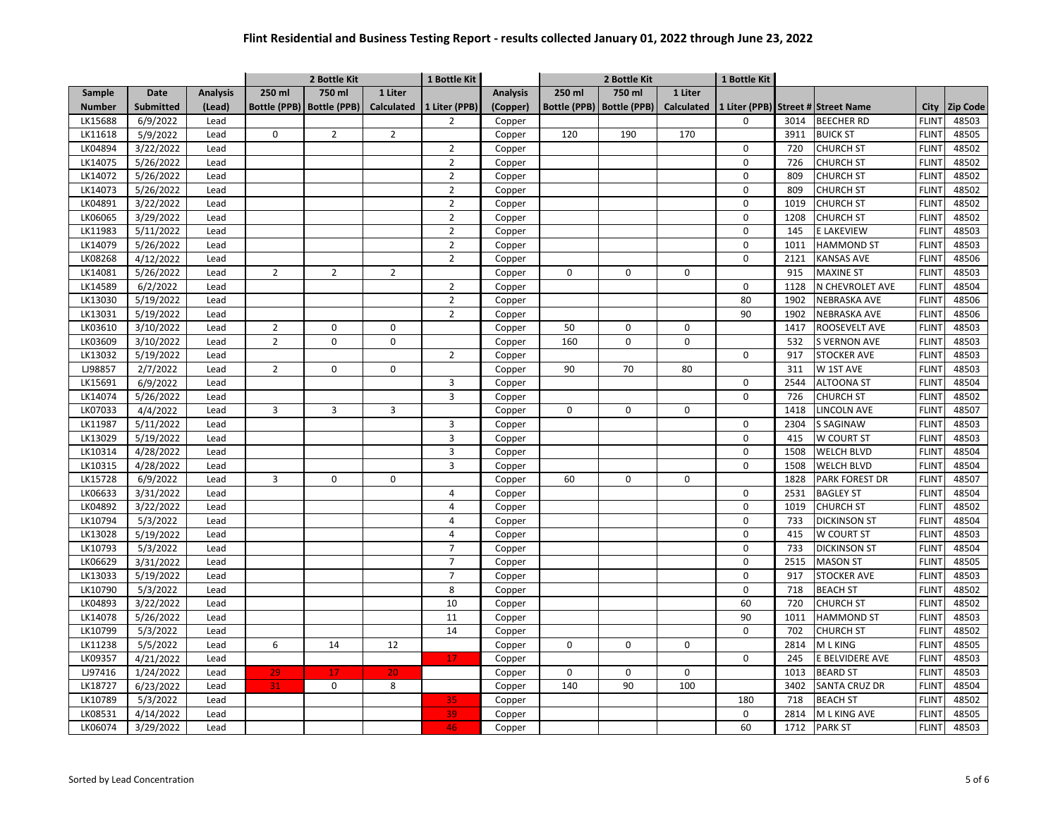|               |                  |                 |                     | 2 Bottle Kit        |                   | 1 Bottle Kit   |                 | 2 Bottle Kit        |                     |                   | 1 Bottle Kit |      |                                    |              |                 |
|---------------|------------------|-----------------|---------------------|---------------------|-------------------|----------------|-----------------|---------------------|---------------------|-------------------|--------------|------|------------------------------------|--------------|-----------------|
| Sample        | <b>Date</b>      | <b>Analysis</b> | 250 ml              | 750 ml              | 1 Liter           |                | <b>Analysis</b> | 250 ml              | 750 ml              | 1 Liter           |              |      |                                    |              |                 |
| <b>Number</b> | <b>Submitted</b> | (Lead)          | <b>Bottle (PPB)</b> | <b>Bottle (PPB)</b> | <b>Calculated</b> | 1 Liter (PPB)  | (Copper)        | <b>Bottle (PPB)</b> | <b>Bottle (PPB)</b> | <b>Calculated</b> |              |      | 1 Liter (PPB) Street # Street Name | City         | <b>Zip Code</b> |
| LK15688       | 6/9/2022         | Lead            |                     |                     |                   | $\overline{2}$ | Copper          |                     |                     |                   | $\mathbf 0$  | 3014 | <b>BEECHER RD</b>                  | <b>FLINT</b> | 48503           |
| LK11618       | 5/9/2022         | Lead            | $\mathbf 0$         | $\overline{2}$      | $\overline{2}$    |                | Copper          | 120                 | 190                 | 170               |              | 3911 | <b>BUICK ST</b>                    | <b>FLINT</b> | 48505           |
| LK04894       | 3/22/2022        | Lead            |                     |                     |                   | $\overline{2}$ | Copper          |                     |                     |                   | 0            | 720  | <b>CHURCH ST</b>                   | <b>FLINT</b> | 48502           |
| LK14075       | 5/26/2022        | Lead            |                     |                     |                   | $\overline{2}$ | Copper          |                     |                     |                   | $\pmb{0}$    | 726  | <b>CHURCH ST</b>                   | <b>FLINT</b> | 48502           |
| LK14072       | 5/26/2022        | Lead            |                     |                     |                   | $\overline{2}$ | Copper          |                     |                     |                   | $\pmb{0}$    | 809  | <b>CHURCH ST</b>                   | <b>FLINT</b> | 48502           |
| LK14073       | 5/26/2022        | Lead            |                     |                     |                   | $\overline{2}$ | Copper          |                     |                     |                   | $\pmb{0}$    | 809  | <b>CHURCH ST</b>                   | <b>FLINT</b> | 48502           |
| LK04891       | 3/22/2022        | Lead            |                     |                     |                   | $\overline{2}$ | Copper          |                     |                     |                   | $\mathbf 0$  | 1019 | <b>CHURCH ST</b>                   | <b>FLINT</b> | 48502           |
| LK06065       | 3/29/2022        | Lead            |                     |                     |                   | $\overline{2}$ | Copper          |                     |                     |                   | $\mathbf 0$  | 1208 | <b>CHURCH ST</b>                   | <b>FLINT</b> | 48502           |
| LK11983       | 5/11/2022        | Lead            |                     |                     |                   | $\overline{2}$ | Copper          |                     |                     |                   | $\mathbf 0$  | 145  | E LAKEVIEW                         | <b>FLINT</b> | 48503           |
| LK14079       | 5/26/2022        | Lead            |                     |                     |                   | $\overline{2}$ | Copper          |                     |                     |                   | $\pmb{0}$    | 1011 | <b>HAMMOND ST</b>                  | <b>FLINT</b> | 48503           |
| LK08268       | 4/12/2022        | Lead            |                     |                     |                   | $\overline{2}$ | Copper          |                     |                     |                   | $\mathbf 0$  | 2121 | <b>KANSAS AVE</b>                  | <b>FLINT</b> | 48506           |
| LK14081       | 5/26/2022        | Lead            | $\overline{2}$      | $\overline{2}$      | $\overline{2}$    |                | Copper          | 0                   | $\pmb{0}$           | 0                 |              | 915  | <b>MAXINE ST</b>                   | <b>FLINT</b> | 48503           |
| LK14589       | 6/2/2022         | Lead            |                     |                     |                   | $\overline{2}$ | Copper          |                     |                     |                   | 0            | 1128 | N CHEVROLET AVE                    | <b>FLINT</b> | 48504           |
| LK13030       | 5/19/2022        | Lead            |                     |                     |                   | $\overline{2}$ | Copper          |                     |                     |                   | 80           | 1902 | <b>NEBRASKA AVE</b>                | <b>FLINT</b> | 48506           |
| LK13031       | 5/19/2022        | Lead            |                     |                     |                   | $\overline{2}$ | Copper          |                     |                     |                   | 90           | 1902 | <b>NEBRASKA AVE</b>                | <b>FLINT</b> | 48506           |
| LK03610       | 3/10/2022        | Lead            | $\overline{2}$      | 0                   | 0                 |                | Copper          | 50                  | $\Omega$            | 0                 |              | 1417 | ROOSEVELT AVE                      | <b>FLINT</b> | 48503           |
| LK03609       | 3/10/2022        | Lead            | $\overline{2}$      | 0                   | 0                 |                | Copper          | 160                 | $\Omega$            | 0                 |              | 532  | S VERNON AVE                       | <b>FLINT</b> | 48503           |
| LK13032       | 5/19/2022        | Lead            |                     |                     |                   | $\overline{2}$ | Copper          |                     |                     |                   | $\mathbf 0$  | 917  | <b>STOCKER AVE</b>                 | <b>FLINT</b> | 48503           |
| LJ98857       | 2/7/2022         | Lead            | $\overline{2}$      | 0                   | 0                 |                | Copper          | 90                  | 70                  | 80                |              | 311  | W 1ST AVE                          | <b>FLINT</b> | 48503           |
| LK15691       | 6/9/2022         | Lead            |                     |                     |                   | 3              | Copper          |                     |                     |                   | 0            | 2544 | <b>ALTOONA ST</b>                  | <b>FLINT</b> | 48504           |
| LK14074       | 5/26/2022        | Lead            |                     |                     |                   | 3              | Copper          |                     |                     |                   | $\mathbf 0$  | 726  | <b>CHURCH ST</b>                   | <b>FLINT</b> | 48502           |
| LK07033       | 4/4/2022         | Lead            | 3                   | $\overline{3}$      | 3                 |                | Copper          | 0                   | $\mathbf 0$         | $\mathbf 0$       |              | 1418 | <b>LINCOLN AVE</b>                 | <b>FLINT</b> | 48507           |
| LK11987       | 5/11/2022        | Lead            |                     |                     |                   | 3              | Copper          |                     |                     |                   | 0            | 2304 | <b>S SAGINAW</b>                   | <b>FLINT</b> | 48503           |
| LK13029       | 5/19/2022        | Lead            |                     |                     |                   | 3              | Copper          |                     |                     |                   | $\mathbf 0$  | 415  | W COURT ST                         | <b>FLINT</b> | 48503           |
| LK10314       | 4/28/2022        | Lead            |                     |                     |                   | 3              | Copper          |                     |                     |                   | $\mathbf 0$  | 1508 | <b>WELCH BLVD</b>                  | <b>FLINT</b> | 48504           |
| LK10315       | 4/28/2022        | Lead            |                     |                     |                   | 3              | Copper          |                     |                     |                   | $\mathbf 0$  | 1508 | WELCH BLVD                         | <b>FLINT</b> | 48504           |
| LK15728       | 6/9/2022         | Lead            | 3                   | 0                   | 0                 |                | Copper          | 60                  | $\Omega$            | 0                 |              | 1828 | PARK FOREST DR                     | <b>FLINT</b> | 48507           |
| LK06633       | 3/31/2022        | Lead            |                     |                     |                   | 4              | Copper          |                     |                     |                   | $\mathbf 0$  | 2531 | <b>BAGLEY ST</b>                   | <b>FLINT</b> | 48504           |
| LK04892       | 3/22/2022        | Lead            |                     |                     |                   | 4              | Copper          |                     |                     |                   | $\pmb{0}$    | 1019 | <b>CHURCH ST</b>                   | <b>FLINT</b> | 48502           |
| LK10794       | 5/3/2022         | Lead            |                     |                     |                   | 4              | Copper          |                     |                     |                   | 0            | 733  | <b>DICKINSON ST</b>                | <b>FLINT</b> | 48504           |
| LK13028       | 5/19/2022        | Lead            |                     |                     |                   | 4              | Copper          |                     |                     |                   | $\mathbf 0$  | 415  | W COURT ST                         | <b>FLINT</b> | 48503           |
| LK10793       | 5/3/2022         | Lead            |                     |                     |                   | $\overline{7}$ | Copper          |                     |                     |                   | $\pmb{0}$    | 733  | <b>DICKINSON ST</b>                | <b>FLINT</b> | 48504           |
| LK06629       | 3/31/2022        | Lead            |                     |                     |                   | $\overline{7}$ | Copper          |                     |                     |                   | $\pmb{0}$    | 2515 | <b>MASON ST</b>                    | <b>FLINT</b> | 48505           |
| LK13033       | 5/19/2022        | Lead            |                     |                     |                   | $\overline{7}$ | Copper          |                     |                     |                   | $\mathbf 0$  | 917  | <b>STOCKER AVE</b>                 | <b>FLINT</b> | 48503           |
| LK10790       | 5/3/2022         | Lead            |                     |                     |                   | 8              | Copper          |                     |                     |                   | $\mathbf 0$  | 718  | <b>BEACH ST</b>                    | <b>FLINT</b> | 48502           |
| LK04893       | 3/22/2022        | Lead            |                     |                     |                   | 10             | Copper          |                     |                     |                   | 60           | 720  | <b>CHURCH ST</b>                   | <b>FLINT</b> | 48502           |
| LK14078       | 5/26/2022        | Lead            |                     |                     |                   | 11             | Copper          |                     |                     |                   | 90           | 1011 | <b>HAMMOND ST</b>                  | <b>FLINT</b> | 48503           |
| LK10799       | 5/3/2022         | Lead            |                     |                     |                   | 14             | Copper          |                     |                     |                   | $\mathbf 0$  | 702  | <b>CHURCH ST</b>                   | <b>FLINT</b> | 48502           |
| LK11238       | 5/5/2022         | Lead            | 6                   | 14                  | 12                |                | Copper          | $\Omega$            | 0                   | 0                 |              | 2814 | M L KING                           | <b>FLINT</b> | 48505           |
| LK09357       | 4/21/2022        | Lead            |                     |                     |                   | 17             | Copper          |                     |                     |                   | 0            | 245  | E BELVIDERE AVE                    | <b>FLINT</b> | 48503           |
| LJ97416       | 1/24/2022        | Lead            | 29                  | 17                  | 20                |                | Copper          | 0                   | $\pmb{0}$           | $\mathsf{O}$      |              | 1013 | <b>BEARD ST</b>                    | <b>FLINT</b> | 48503           |
| LK18727       | 6/23/2022        | Lead            | 31                  | $\mathsf 0$         | 8                 |                | Copper          | 140                 | 90                  | 100               |              | 3402 | SANTA CRUZ DR                      | <b>FLINT</b> | 48504           |
| LK10789       | 5/3/2022         | Lead            |                     |                     |                   | 35             | Copper          |                     |                     |                   | 180          | 718  | <b>BEACH ST</b>                    | <b>FLINT</b> | 48502           |
| LK08531       | 4/14/2022        | Lead            |                     |                     |                   | 39             | Copper          |                     |                     |                   | 0            | 2814 | M L KING AVE                       | <b>FLINT</b> | 48505           |
| LK06074       | 3/29/2022        | Lead            |                     |                     |                   | 46             | Copper          |                     |                     |                   | 60           | 1712 | <b>PARK ST</b>                     | <b>FLINT</b> | 48503           |
|               |                  |                 |                     |                     |                   |                |                 |                     |                     |                   |              |      |                                    |              |                 |